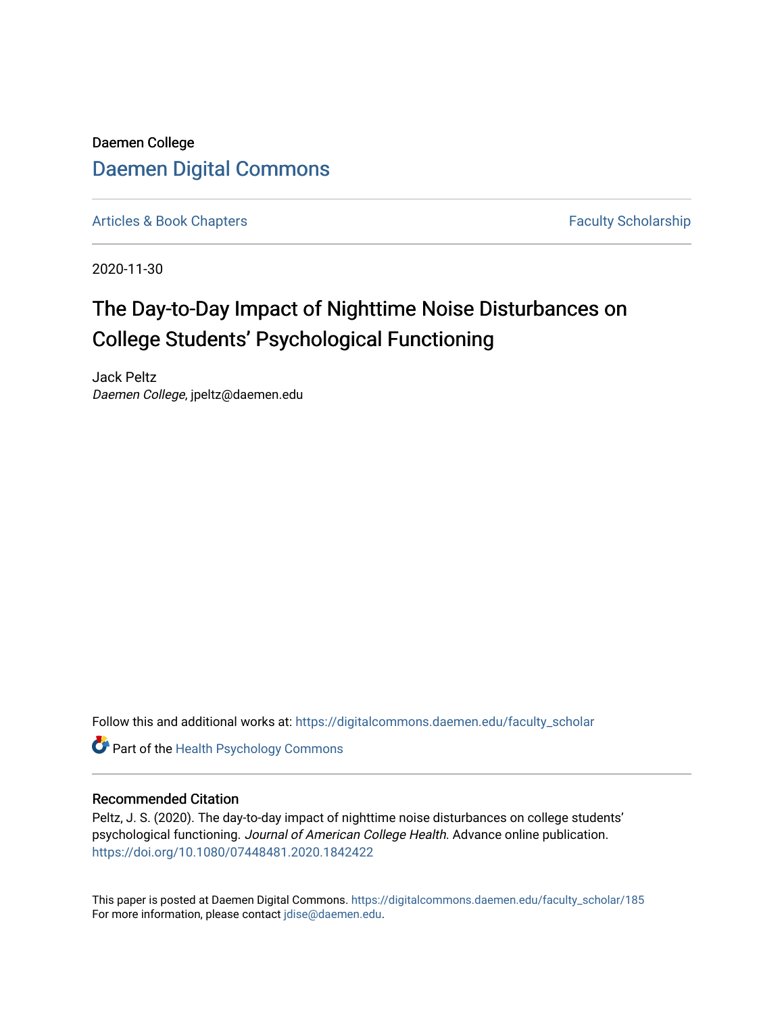Daemen College [Daemen Digital Commons](https://digitalcommons.daemen.edu/) 

[Articles & Book Chapters](https://digitalcommons.daemen.edu/faculty_scholar) **Faculty Scholarship Faculty Scholarship** 

2020-11-30

# The Day-to-Day Impact of Nighttime Noise Disturbances on College Students' Psychological Functioning

Jack Peltz Daemen College, jpeltz@daemen.edu

Follow this and additional works at: [https://digitalcommons.daemen.edu/faculty\\_scholar](https://digitalcommons.daemen.edu/faculty_scholar?utm_source=digitalcommons.daemen.edu%2Ffaculty_scholar%2F185&utm_medium=PDF&utm_campaign=PDFCoverPages) 

Part of the [Health Psychology Commons](http://network.bepress.com/hgg/discipline/411?utm_source=digitalcommons.daemen.edu%2Ffaculty_scholar%2F185&utm_medium=PDF&utm_campaign=PDFCoverPages)

# Recommended Citation

Peltz, J. S. (2020). The day-to-day impact of nighttime noise disturbances on college students' psychological functioning. Journal of American College Health. Advance online publication. <https://doi.org/10.1080/07448481.2020.1842422>

This paper is posted at Daemen Digital Commons. [https://digitalcommons.daemen.edu/faculty\\_scholar/185](https://digitalcommons.daemen.edu/faculty_scholar/185)  For more information, please contact [jdise@daemen.edu](mailto:jdise@daemen.edu).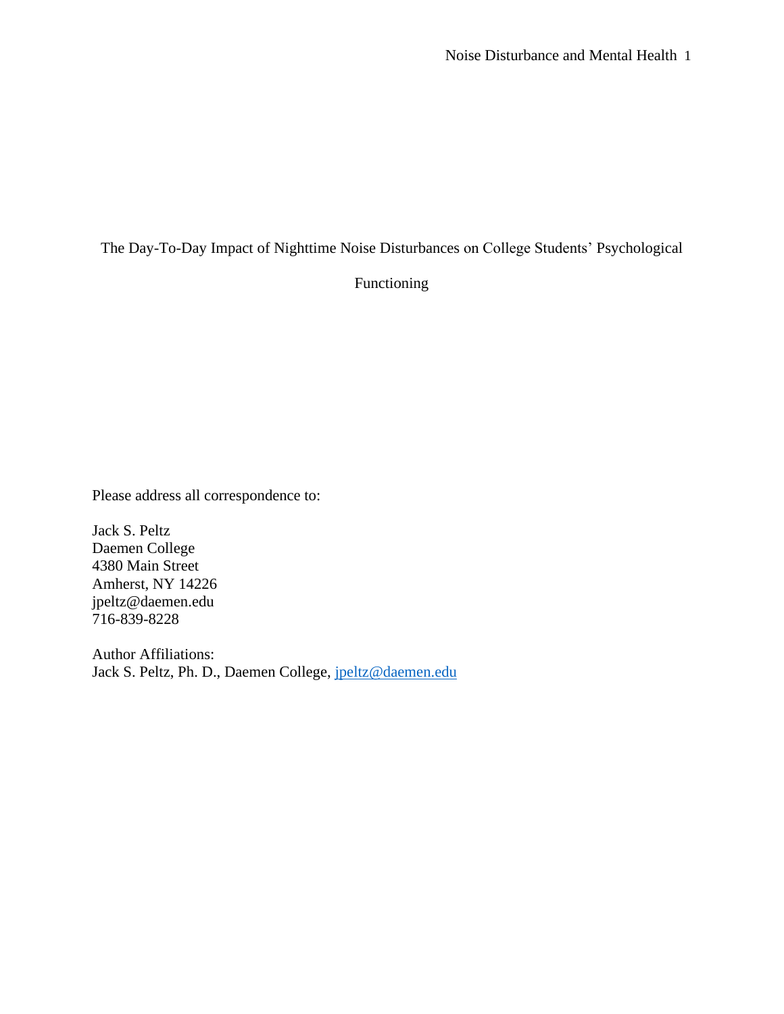The Day-To-Day Impact of Nighttime Noise Disturbances on College Students' Psychological

Functioning

Please address all correspondence to:

Jack S. Peltz Daemen College 4380 Main Street Amherst, NY 14226 jpeltz@daemen.edu 716-839-8228

Author Affiliations: Jack S. Peltz, Ph. D., Daemen College, [jpeltz@daemen.edu](mailto:jpeltz@daemen.edu)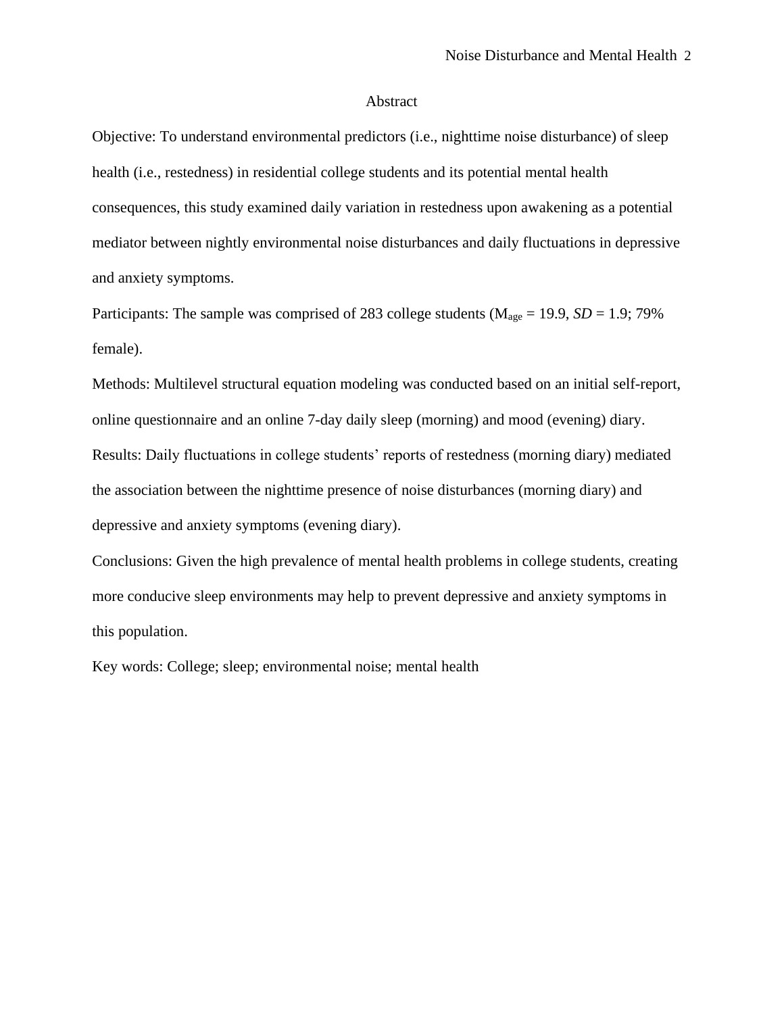# Abstract

Objective: To understand environmental predictors (i.e., nighttime noise disturbance) of sleep health (i.e., restedness) in residential college students and its potential mental health consequences, this study examined daily variation in restedness upon awakening as a potential mediator between nightly environmental noise disturbances and daily fluctuations in depressive and anxiety symptoms.

Participants: The sample was comprised of 283 college students ( $M_{age} = 19.9$ ,  $SD = 1.9$ ; 79% female).

Methods: Multilevel structural equation modeling was conducted based on an initial self-report, online questionnaire and an online 7-day daily sleep (morning) and mood (evening) diary. Results: Daily fluctuations in college students' reports of restedness (morning diary) mediated the association between the nighttime presence of noise disturbances (morning diary) and depressive and anxiety symptoms (evening diary).

Conclusions: Given the high prevalence of mental health problems in college students, creating more conducive sleep environments may help to prevent depressive and anxiety symptoms in this population.

Key words: College; sleep; environmental noise; mental health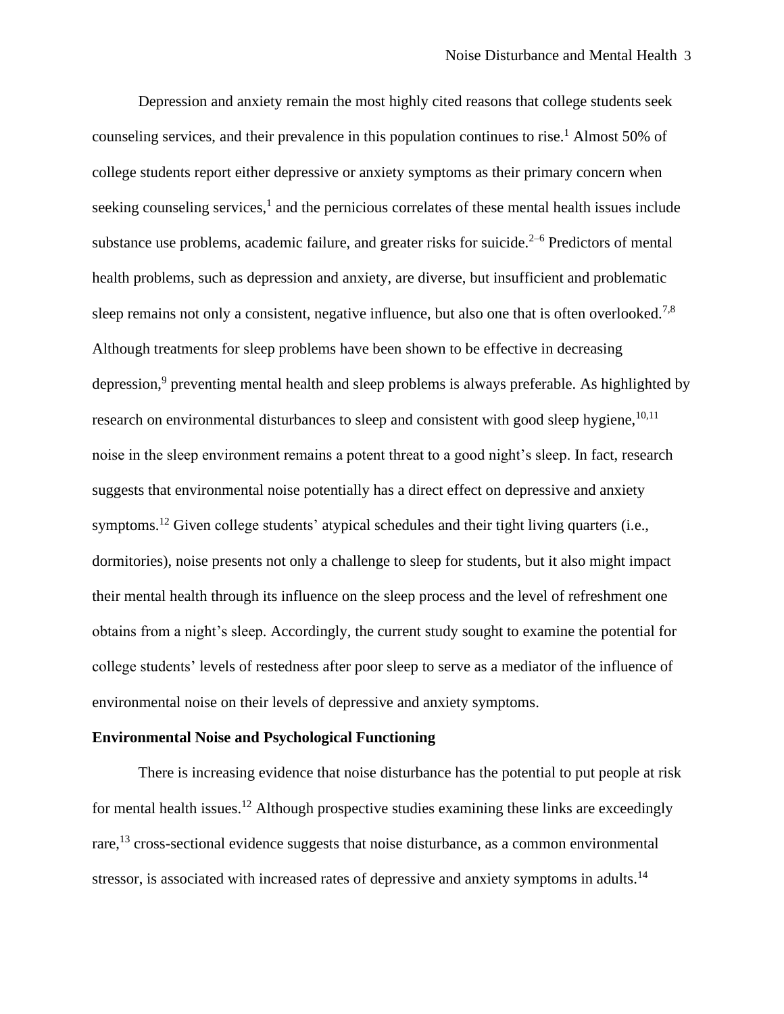Depression and anxiety remain the most highly cited reasons that college students seek counseling services, and their prevalence in this population continues to rise.<sup>1</sup> Almost 50% of college students report either depressive or anxiety symptoms as their primary concern when seeking counseling services,<sup>1</sup> and the pernicious correlates of these mental health issues include substance use problems, academic failure, and greater risks for suicide. $2-6$  Predictors of mental health problems, such as depression and anxiety, are diverse, but insufficient and problematic sleep remains not only a consistent, negative influence, but also one that is often overlooked.<sup>7,8</sup> Although treatments for sleep problems have been shown to be effective in decreasing depression,<sup>9</sup> preventing mental health and sleep problems is always preferable. As highlighted by research on environmental disturbances to sleep and consistent with good sleep hygiene, $10,11$ noise in the sleep environment remains a potent threat to a good night's sleep. In fact, research suggests that environmental noise potentially has a direct effect on depressive and anxiety symptoms.<sup>12</sup> Given college students' atypical schedules and their tight living quarters (i.e., dormitories), noise presents not only a challenge to sleep for students, but it also might impact their mental health through its influence on the sleep process and the level of refreshment one obtains from a night's sleep. Accordingly, the current study sought to examine the potential for college students' levels of restedness after poor sleep to serve as a mediator of the influence of environmental noise on their levels of depressive and anxiety symptoms.

#### **Environmental Noise and Psychological Functioning**

There is increasing evidence that noise disturbance has the potential to put people at risk for mental health issues.<sup>12</sup> Although prospective studies examining these links are exceedingly rare,<sup>13</sup> cross-sectional evidence suggests that noise disturbance, as a common environmental stressor, is associated with increased rates of depressive and anxiety symptoms in adults.<sup>14</sup>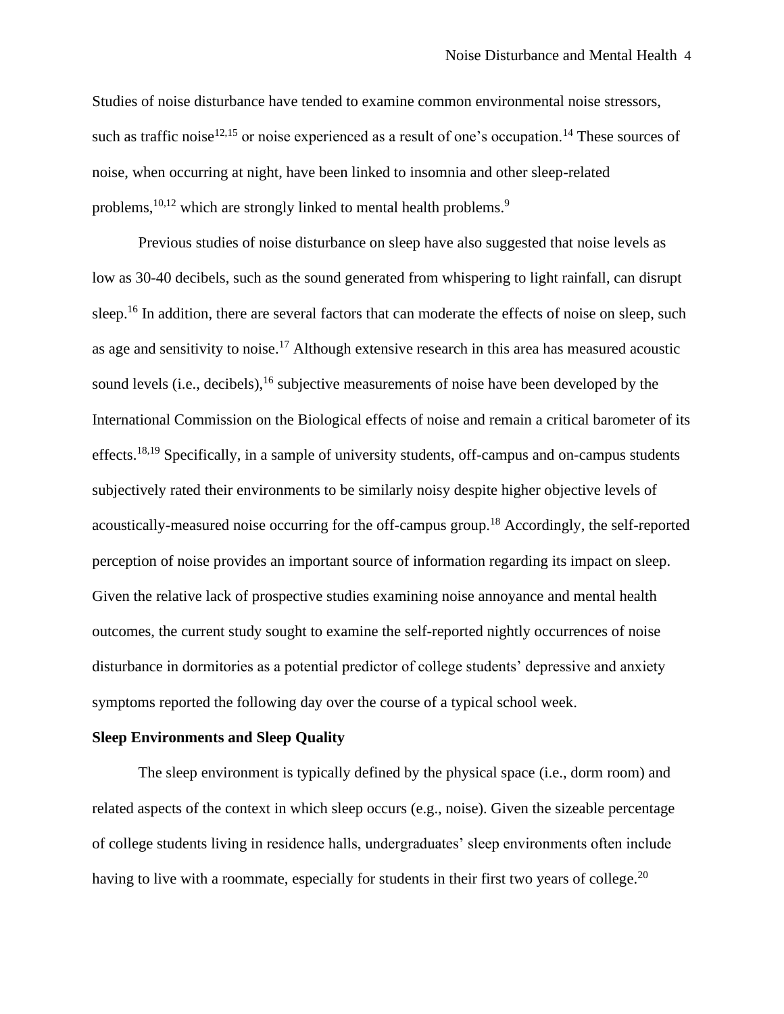Studies of noise disturbance have tended to examine common environmental noise stressors, such as traffic noise<sup>12,15</sup> or noise experienced as a result of one's occupation.<sup>14</sup> These sources of noise, when occurring at night, have been linked to insomnia and other sleep-related problems,<sup>10,12</sup> which are strongly linked to mental health problems.<sup>9</sup>

Previous studies of noise disturbance on sleep have also suggested that noise levels as low as 30-40 decibels, such as the sound generated from whispering to light rainfall, can disrupt sleep.<sup>16</sup> In addition, there are several factors that can moderate the effects of noise on sleep, such as age and sensitivity to noise.<sup>17</sup> Although extensive research in this area has measured acoustic sound levels (i.e., decibels),  $^{16}$  subjective measurements of noise have been developed by the International Commission on the Biological effects of noise and remain a critical barometer of its effects.<sup>18,19</sup> Specifically, in a sample of university students, off-campus and on-campus students subjectively rated their environments to be similarly noisy despite higher objective levels of acoustically-measured noise occurring for the off-campus group.<sup>18</sup> Accordingly, the self-reported perception of noise provides an important source of information regarding its impact on sleep. Given the relative lack of prospective studies examining noise annoyance and mental health outcomes, the current study sought to examine the self-reported nightly occurrences of noise disturbance in dormitories as a potential predictor of college students' depressive and anxiety symptoms reported the following day over the course of a typical school week.

#### **Sleep Environments and Sleep Quality**

The sleep environment is typically defined by the physical space (i.e., dorm room) and related aspects of the context in which sleep occurs (e.g., noise). Given the sizeable percentage of college students living in residence halls, undergraduates' sleep environments often include having to live with a roommate, especially for students in their first two years of college.<sup>20</sup>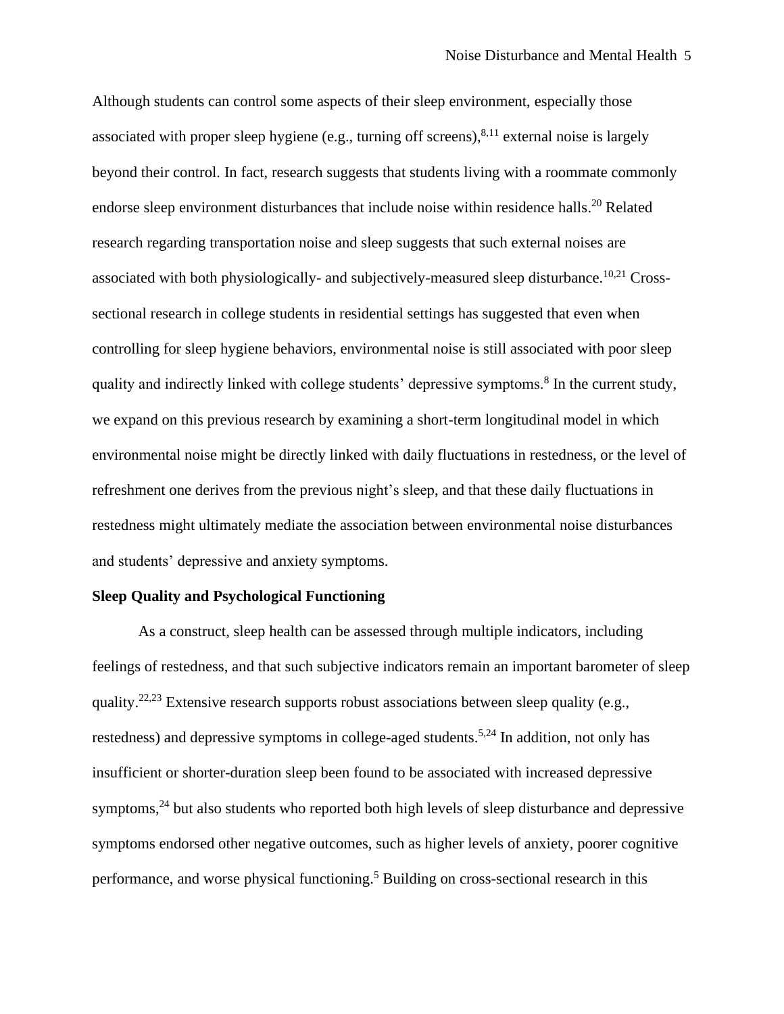Although students can control some aspects of their sleep environment, especially those associated with proper sleep hygiene (e.g., turning off screens),  $8,11$  external noise is largely beyond their control. In fact, research suggests that students living with a roommate commonly endorse sleep environment disturbances that include noise within residence halls.<sup>20</sup> Related research regarding transportation noise and sleep suggests that such external noises are associated with both physiologically- and subjectively-measured sleep disturbance.<sup>10,21</sup> Crosssectional research in college students in residential settings has suggested that even when controlling for sleep hygiene behaviors, environmental noise is still associated with poor sleep quality and indirectly linked with college students' depressive symptoms.<sup>8</sup> In the current study, we expand on this previous research by examining a short-term longitudinal model in which environmental noise might be directly linked with daily fluctuations in restedness, or the level of refreshment one derives from the previous night's sleep, and that these daily fluctuations in restedness might ultimately mediate the association between environmental noise disturbances and students' depressive and anxiety symptoms.

# **Sleep Quality and Psychological Functioning**

As a construct, sleep health can be assessed through multiple indicators, including feelings of restedness, and that such subjective indicators remain an important barometer of sleep quality.22,23 Extensive research supports robust associations between sleep quality (e.g., restedness) and depressive symptoms in college-aged students.<sup>5,24</sup> In addition, not only has insufficient or shorter-duration sleep been found to be associated with increased depressive symptoms,<sup>24</sup> but also students who reported both high levels of sleep disturbance and depressive symptoms endorsed other negative outcomes, such as higher levels of anxiety, poorer cognitive performance, and worse physical functioning. <sup>5</sup> Building on cross-sectional research in this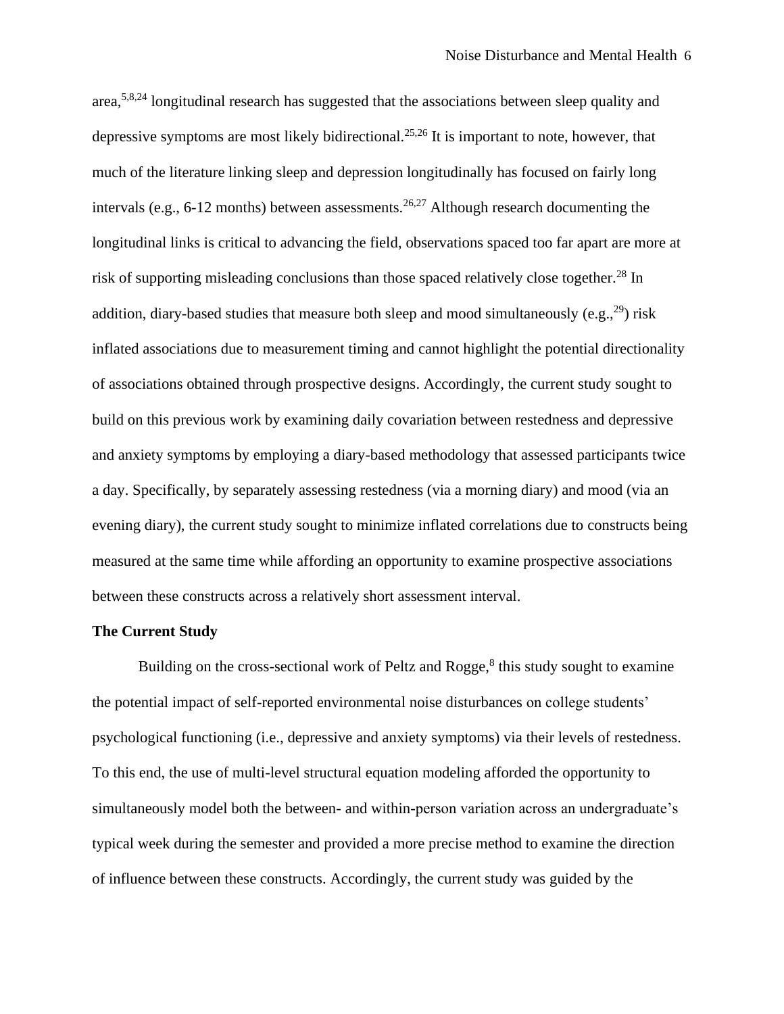area,5,8,24 longitudinal research has suggested that the associations between sleep quality and depressive symptoms are most likely bidirectional.<sup>25,26</sup> It is important to note, however, that much of the literature linking sleep and depression longitudinally has focused on fairly long intervals (e.g., 6-12 months) between assessments.<sup>26,27</sup> Although research documenting the longitudinal links is critical to advancing the field, observations spaced too far apart are more at risk of supporting misleading conclusions than those spaced relatively close together.<sup>28</sup> In addition, diary-based studies that measure both sleep and mood simultaneously (e.g.,  $^{29}$ ) risk inflated associations due to measurement timing and cannot highlight the potential directionality of associations obtained through prospective designs. Accordingly, the current study sought to build on this previous work by examining daily covariation between restedness and depressive and anxiety symptoms by employing a diary-based methodology that assessed participants twice a day. Specifically, by separately assessing restedness (via a morning diary) and mood (via an evening diary), the current study sought to minimize inflated correlations due to constructs being measured at the same time while affording an opportunity to examine prospective associations between these constructs across a relatively short assessment interval.

#### **The Current Study**

Building on the cross-sectional work of Peltz and  $Rogge$ ,  $\delta$  this study sought to examine the potential impact of self-reported environmental noise disturbances on college students' psychological functioning (i.e., depressive and anxiety symptoms) via their levels of restedness. To this end, the use of multi-level structural equation modeling afforded the opportunity to simultaneously model both the between- and within-person variation across an undergraduate's typical week during the semester and provided a more precise method to examine the direction of influence between these constructs. Accordingly, the current study was guided by the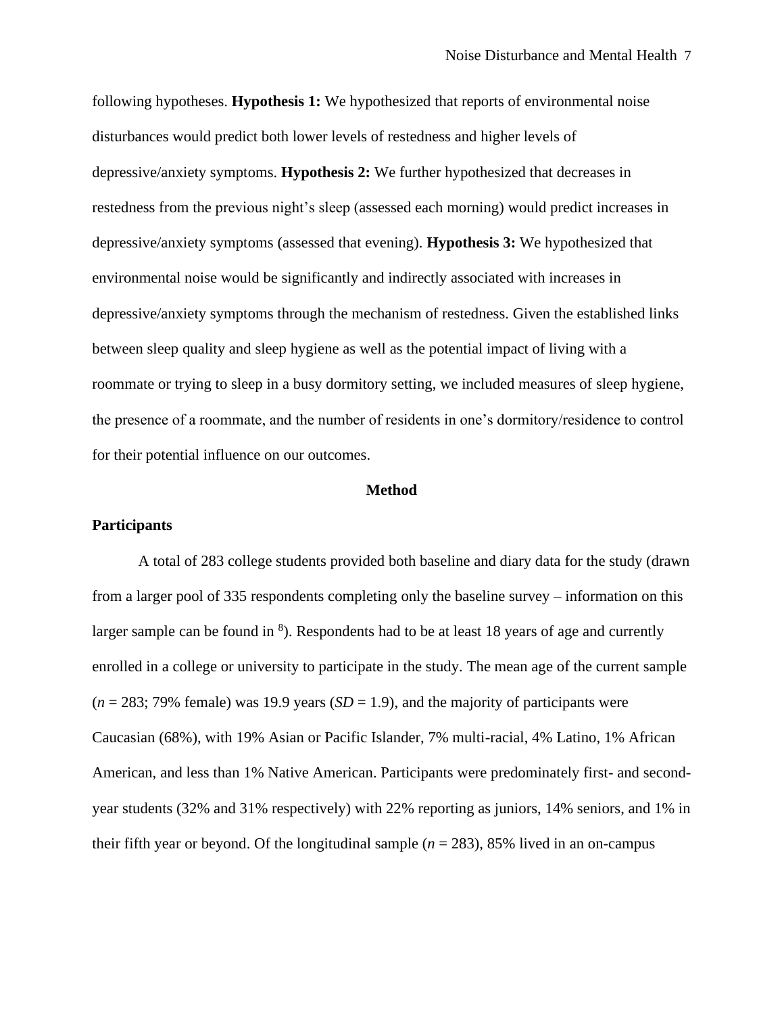following hypotheses. **Hypothesis 1:** We hypothesized that reports of environmental noise disturbances would predict both lower levels of restedness and higher levels of depressive/anxiety symptoms. **Hypothesis 2:** We further hypothesized that decreases in restedness from the previous night's sleep (assessed each morning) would predict increases in depressive/anxiety symptoms (assessed that evening). **Hypothesis 3:** We hypothesized that environmental noise would be significantly and indirectly associated with increases in depressive/anxiety symptoms through the mechanism of restedness. Given the established links between sleep quality and sleep hygiene as well as the potential impact of living with a roommate or trying to sleep in a busy dormitory setting, we included measures of sleep hygiene, the presence of a roommate, and the number of residents in one's dormitory/residence to control for their potential influence on our outcomes.

# **Method**

#### **Participants**

A total of 283 college students provided both baseline and diary data for the study (drawn from a larger pool of 335 respondents completing only the baseline survey – information on this larger sample can be found in  $\delta$ ). Respondents had to be at least 18 years of age and currently enrolled in a college or university to participate in the study. The mean age of the current sample  $(n = 283; 79\%$  female) was 19.9 years  $(SD = 1.9)$ , and the majority of participants were Caucasian (68%), with 19% Asian or Pacific Islander, 7% multi-racial, 4% Latino, 1% African American, and less than 1% Native American. Participants were predominately first- and secondyear students (32% and 31% respectively) with 22% reporting as juniors, 14% seniors, and 1% in their fifth year or beyond. Of the longitudinal sample  $(n = 283)$ , 85% lived in an on-campus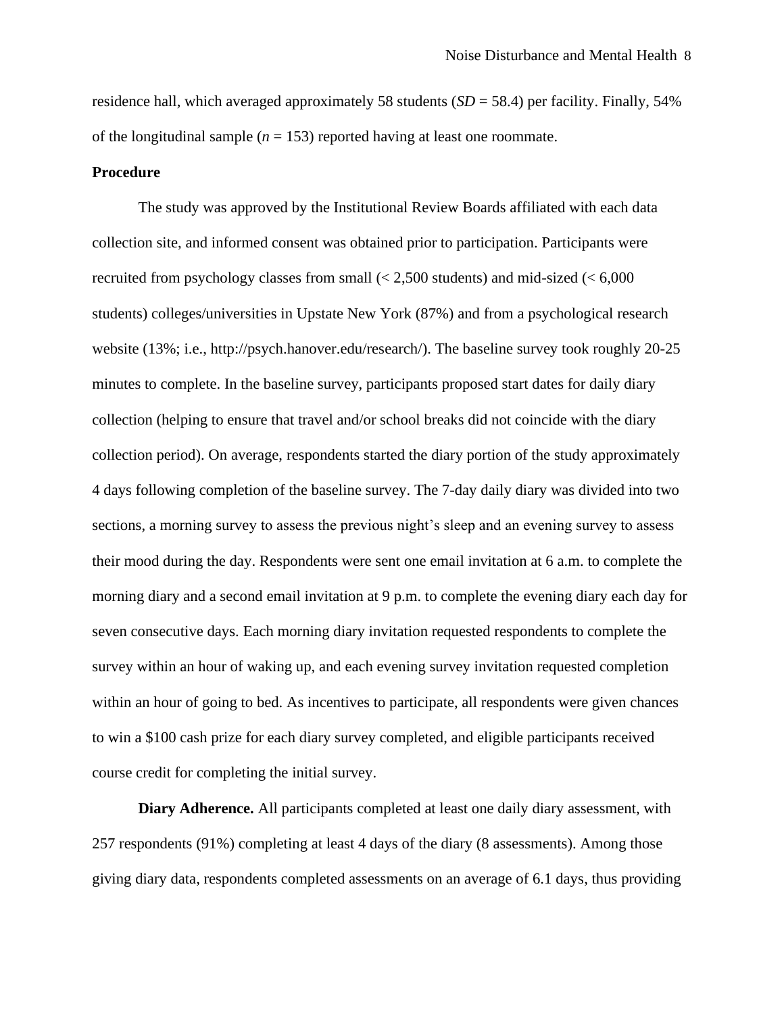residence hall, which averaged approximately 58 students  $(SD = 58.4)$  per facility. Finally, 54% of the longitudinal sample ( $n = 153$ ) reported having at least one roommate.

# **Procedure**

The study was approved by the Institutional Review Boards affiliated with each data collection site, and informed consent was obtained prior to participation. Participants were recruited from psychology classes from small (< 2,500 students) and mid-sized (< 6,000 students) colleges/universities in Upstate New York (87%) and from a psychological research website (13%; i.e., http://psych.hanover.edu/research/). The baseline survey took roughly 20-25 minutes to complete. In the baseline survey, participants proposed start dates for daily diary collection (helping to ensure that travel and/or school breaks did not coincide with the diary collection period). On average, respondents started the diary portion of the study approximately 4 days following completion of the baseline survey. The 7-day daily diary was divided into two sections, a morning survey to assess the previous night's sleep and an evening survey to assess their mood during the day. Respondents were sent one email invitation at 6 a.m. to complete the morning diary and a second email invitation at 9 p.m. to complete the evening diary each day for seven consecutive days. Each morning diary invitation requested respondents to complete the survey within an hour of waking up, and each evening survey invitation requested completion within an hour of going to bed. As incentives to participate, all respondents were given chances to win a \$100 cash prize for each diary survey completed, and eligible participants received course credit for completing the initial survey.

**Diary Adherence.** All participants completed at least one daily diary assessment, with 257 respondents (91%) completing at least 4 days of the diary (8 assessments). Among those giving diary data, respondents completed assessments on an average of 6.1 days, thus providing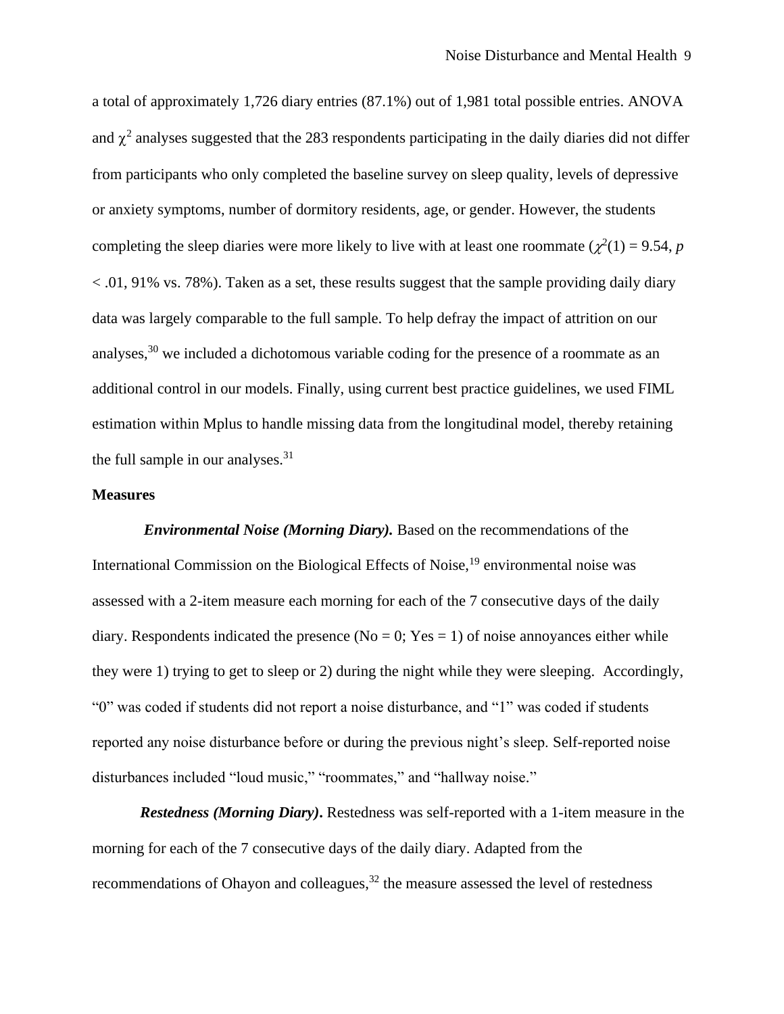a total of approximately 1,726 diary entries (87.1%) out of 1,981 total possible entries. ANOVA and  $\chi^2$  analyses suggested that the 283 respondents participating in the daily diaries did not differ from participants who only completed the baseline survey on sleep quality, levels of depressive or anxiety symptoms, number of dormitory residents, age, or gender. However, the students completing the sleep diaries were more likely to live with at least one roommate ( $\chi^2(1) = 9.54$ , *p*  $< .01, 91\%$  vs. 78%). Taken as a set, these results suggest that the sample providing daily diary data was largely comparable to the full sample. To help defray the impact of attrition on our analyses,<sup>30</sup> we included a dichotomous variable coding for the presence of a roommate as an additional control in our models. Finally, using current best practice guidelines, we used FIML estimation within Mplus to handle missing data from the longitudinal model, thereby retaining the full sample in our analyses. $31$ 

# **Measures**

*Environmental Noise (Morning Diary).* Based on the recommendations of the International Commission on the Biological Effects of Noise, <sup>19</sup> environmental noise was assessed with a 2-item measure each morning for each of the 7 consecutive days of the daily diary. Respondents indicated the presence ( $No = 0$ ;  $Yes = 1$ ) of noise annoyances either while they were 1) trying to get to sleep or 2) during the night while they were sleeping. Accordingly, "0" was coded if students did not report a noise disturbance, and "1" was coded if students reported any noise disturbance before or during the previous night's sleep. Self-reported noise disturbances included "loud music," "roommates," and "hallway noise."

*Restedness (Morning Diary)***.** Restedness was self-reported with a 1-item measure in the morning for each of the 7 consecutive days of the daily diary. Adapted from the recommendations of Ohayon and colleagues,<sup>32</sup> the measure assessed the level of restedness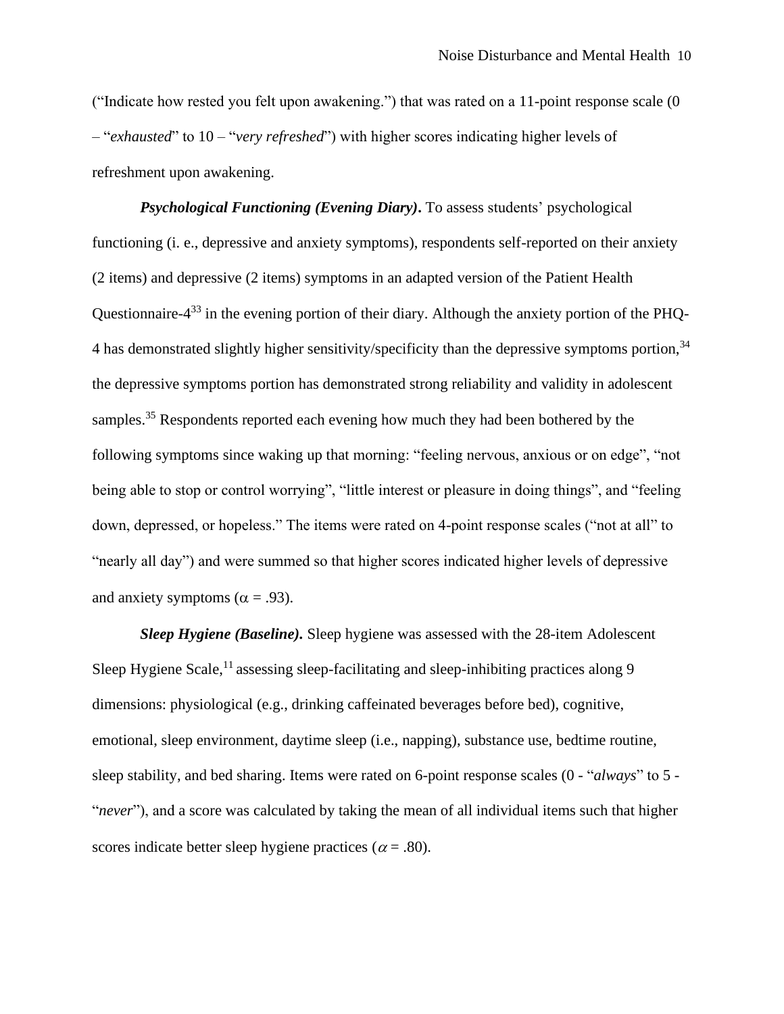("Indicate how rested you felt upon awakening.") that was rated on a 11-point response scale (0 – "*exhausted*" to 10 – "*very refreshed*") with higher scores indicating higher levels of refreshment upon awakening.

*Psychological Functioning (Evening Diary)***.** To assess students' psychological functioning (i. e., depressive and anxiety symptoms), respondents self-reported on their anxiety (2 items) and depressive (2 items) symptoms in an adapted version of the Patient Health Questionnaire- $4^{33}$  in the evening portion of their diary. Although the anxiety portion of the PHQ-4 has demonstrated slightly higher sensitivity/specificity than the depressive symptoms portion,<sup>34</sup> the depressive symptoms portion has demonstrated strong reliability and validity in adolescent samples.<sup>35</sup> Respondents reported each evening how much they had been bothered by the following symptoms since waking up that morning: "feeling nervous, anxious or on edge", "not being able to stop or control worrying", "little interest or pleasure in doing things", and "feeling down, depressed, or hopeless." The items were rated on 4-point response scales ("not at all" to "nearly all day") and were summed so that higher scores indicated higher levels of depressive and anxiety symptoms ( $\alpha = .93$ ).

*Sleep Hygiene (Baseline).* Sleep hygiene was assessed with the 28-item Adolescent Sleep Hygiene Scale,<sup>11</sup> assessing sleep-facilitating and sleep-inhibiting practices along 9 dimensions: physiological (e.g., drinking caffeinated beverages before bed), cognitive, emotional, sleep environment, daytime sleep (i.e., napping), substance use, bedtime routine, sleep stability, and bed sharing. Items were rated on 6-point response scales (0 - "*always*" to 5 - "*never*"), and a score was calculated by taking the mean of all individual items such that higher scores indicate better sleep hygiene practices ( $\alpha$  = .80).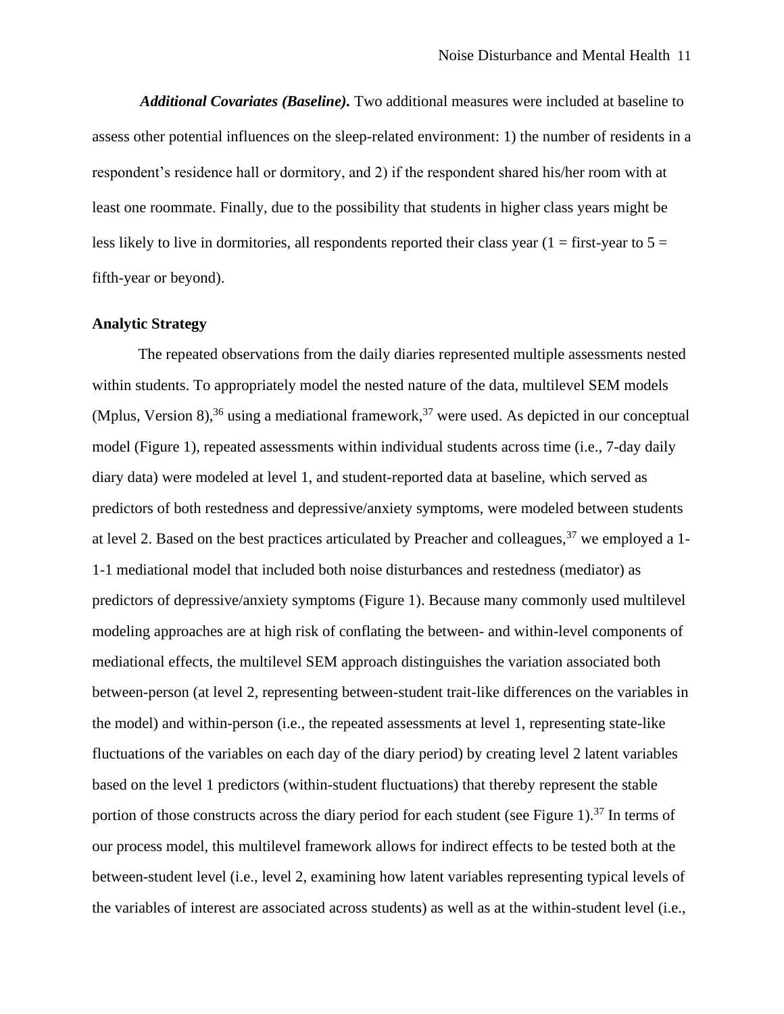*Additional Covariates (Baseline).* Two additional measures were included at baseline to assess other potential influences on the sleep-related environment: 1) the number of residents in a respondent's residence hall or dormitory, and 2) if the respondent shared his/her room with at least one roommate. Finally, due to the possibility that students in higher class years might be less likely to live in dormitories, all respondents reported their class year ( $1 =$  first-year to  $5 =$ fifth-year or beyond).

# **Analytic Strategy**

The repeated observations from the daily diaries represented multiple assessments nested within students. To appropriately model the nested nature of the data, multilevel SEM models (Mplus, Version 8),<sup>36</sup> using a mediational framework,<sup>37</sup> were used. As depicted in our conceptual model (Figure 1), repeated assessments within individual students across time (i.e., 7-day daily diary data) were modeled at level 1, and student-reported data at baseline, which served as predictors of both restedness and depressive/anxiety symptoms, were modeled between students at level 2. Based on the best practices articulated by Preacher and colleagues,  $37$  we employed a 1-1-1 mediational model that included both noise disturbances and restedness (mediator) as predictors of depressive/anxiety symptoms (Figure 1). Because many commonly used multilevel modeling approaches are at high risk of conflating the between- and within-level components of mediational effects, the multilevel SEM approach distinguishes the variation associated both between-person (at level 2, representing between-student trait-like differences on the variables in the model) and within-person (i.e., the repeated assessments at level 1, representing state-like fluctuations of the variables on each day of the diary period) by creating level 2 latent variables based on the level 1 predictors (within-student fluctuations) that thereby represent the stable portion of those constructs across the diary period for each student (see Figure 1).<sup>37</sup> In terms of our process model, this multilevel framework allows for indirect effects to be tested both at the between-student level (i.e., level 2, examining how latent variables representing typical levels of the variables of interest are associated across students) as well as at the within-student level (i.e.,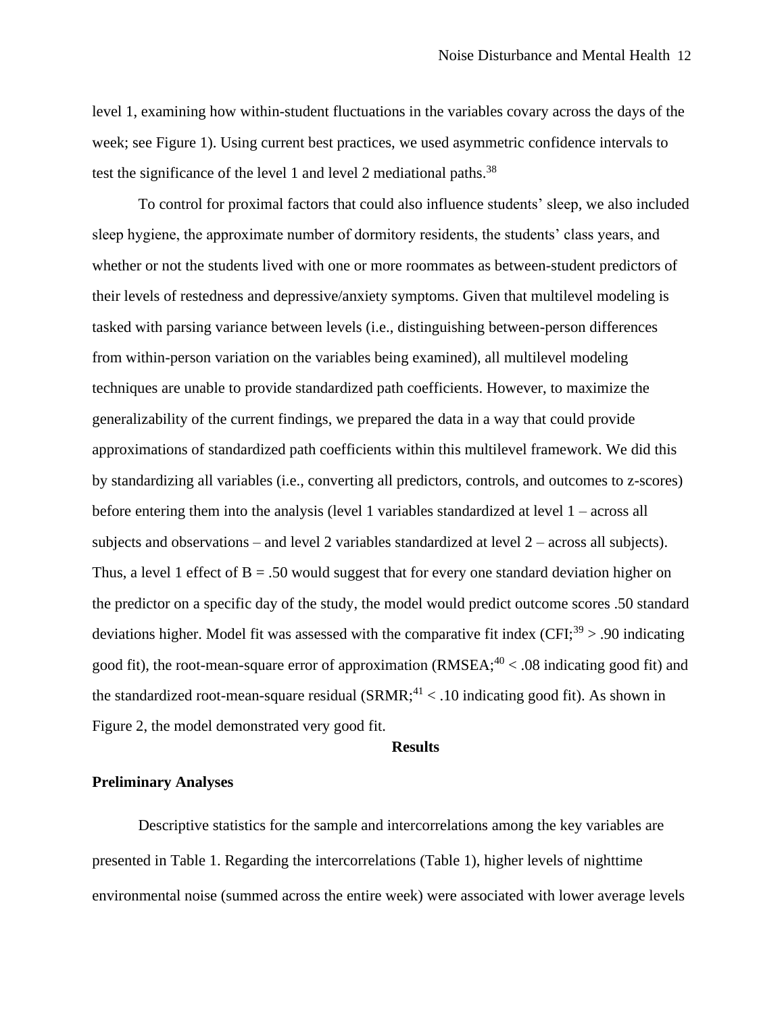level 1, examining how within-student fluctuations in the variables covary across the days of the week; see Figure 1). Using current best practices, we used asymmetric confidence intervals to test the significance of the level 1 and level 2 mediational paths.<sup>38</sup>

To control for proximal factors that could also influence students' sleep, we also included sleep hygiene, the approximate number of dormitory residents, the students' class years, and whether or not the students lived with one or more roommates as between-student predictors of their levels of restedness and depressive/anxiety symptoms. Given that multilevel modeling is tasked with parsing variance between levels (i.e., distinguishing between-person differences from within-person variation on the variables being examined), all multilevel modeling techniques are unable to provide standardized path coefficients. However, to maximize the generalizability of the current findings, we prepared the data in a way that could provide approximations of standardized path coefficients within this multilevel framework. We did this by standardizing all variables (i.e., converting all predictors, controls, and outcomes to z-scores) before entering them into the analysis (level 1 variables standardized at level 1 – across all subjects and observations – and level 2 variables standardized at level 2 – across all subjects). Thus, a level 1 effect of  $B = 0.50$  would suggest that for every one standard deviation higher on the predictor on a specific day of the study, the model would predict outcome scores .50 standard deviations higher. Model fit was assessed with the comparative fit index  $(CFI<sup>39</sup> > 0.90$  indicating good fit), the root-mean-square error of approximation (RMSEA; $^{40}$  < .08 indicating good fit) and the standardized root-mean-square residual  $(SRMR;^{41} < .10$  indicating good fit). As shown in Figure 2, the model demonstrated very good fit.

# **Results**

# **Preliminary Analyses**

Descriptive statistics for the sample and intercorrelations among the key variables are presented in Table 1. Regarding the intercorrelations (Table 1), higher levels of nighttime environmental noise (summed across the entire week) were associated with lower average levels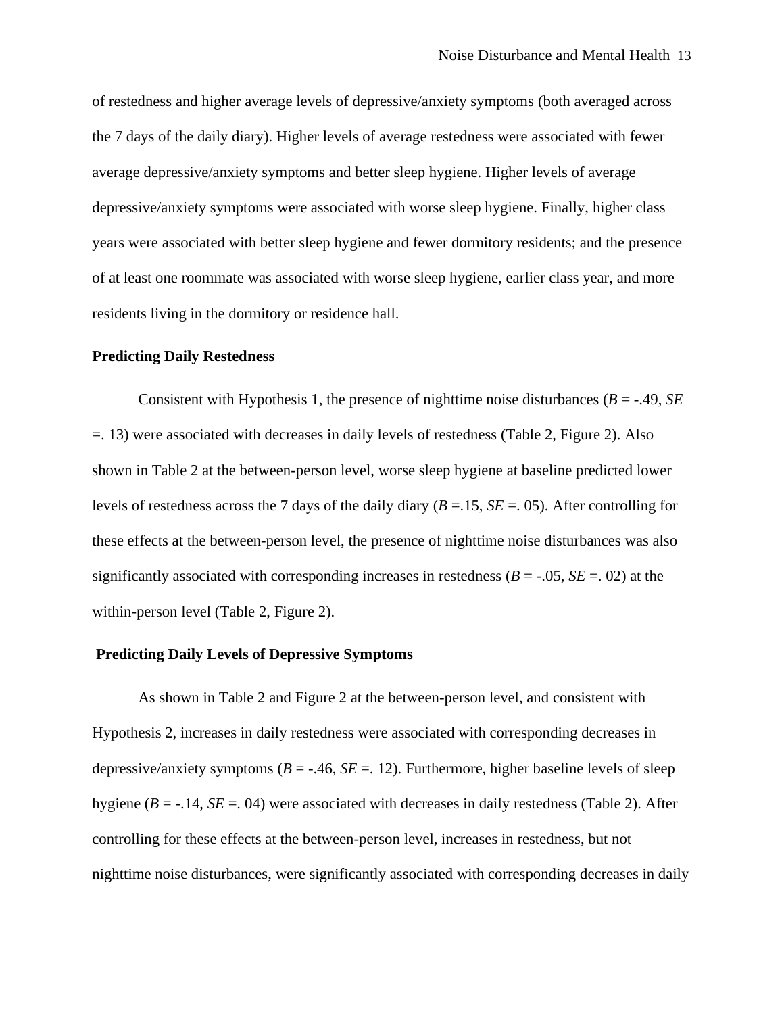of restedness and higher average levels of depressive/anxiety symptoms (both averaged across the 7 days of the daily diary). Higher levels of average restedness were associated with fewer average depressive/anxiety symptoms and better sleep hygiene. Higher levels of average depressive/anxiety symptoms were associated with worse sleep hygiene. Finally, higher class years were associated with better sleep hygiene and fewer dormitory residents; and the presence of at least one roommate was associated with worse sleep hygiene, earlier class year, and more residents living in the dormitory or residence hall.

#### **Predicting Daily Restedness**

Consistent with Hypothesis 1, the presence of nighttime noise disturbances  $(B = -0.49, SE)$ =. 13) were associated with decreases in daily levels of restedness (Table 2, Figure 2). Also shown in Table 2 at the between-person level, worse sleep hygiene at baseline predicted lower levels of restedness across the 7 days of the daily diary (*B* =.15, *SE* =. 05). After controlling for these effects at the between-person level, the presence of nighttime noise disturbances was also significantly associated with corresponding increases in restedness  $(B = -0.05, SE = 0.02)$  at the within-person level (Table 2, Figure 2).

# **Predicting Daily Levels of Depressive Symptoms**

As shown in Table 2 and Figure 2 at the between-person level, and consistent with Hypothesis 2, increases in daily restedness were associated with corresponding decreases in depressive/anxiety symptoms  $(B = -0.46, SE = 0.12)$ . Furthermore, higher baseline levels of sleep hygiene  $(B = -14, SE = 04)$  were associated with decreases in daily restedness (Table 2). After controlling for these effects at the between-person level, increases in restedness, but not nighttime noise disturbances, were significantly associated with corresponding decreases in daily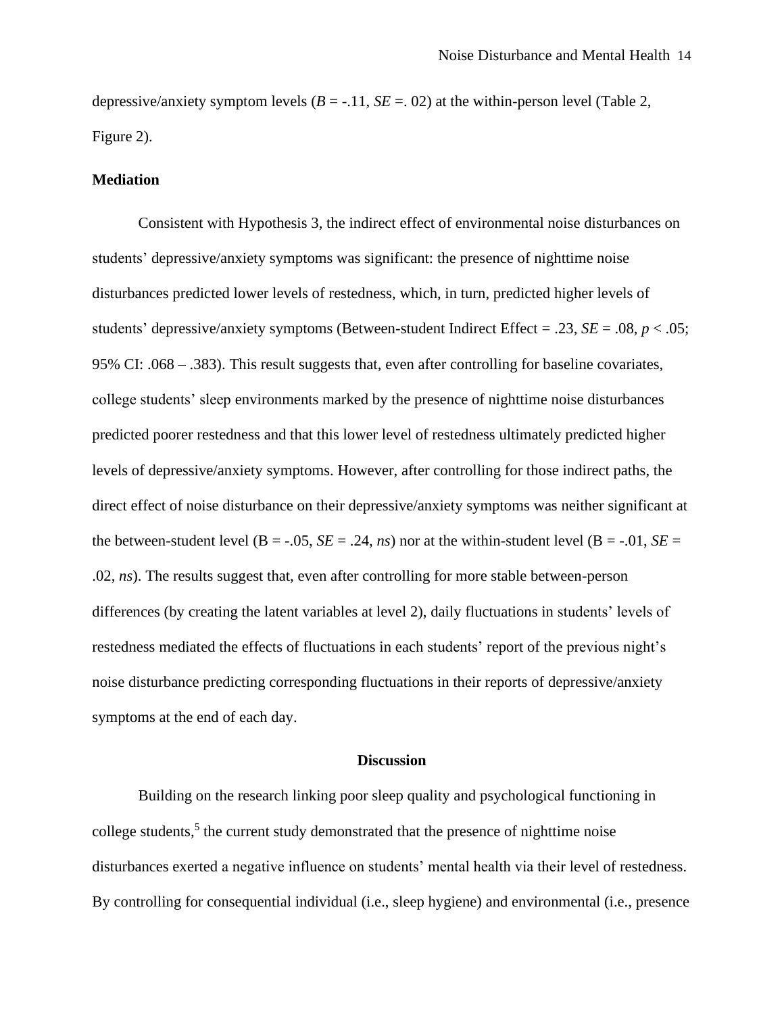depressive/anxiety symptom levels  $(B = -11, SE = 02)$  at the within-person level (Table 2, Figure 2).

# **Mediation**

Consistent with Hypothesis 3, the indirect effect of environmental noise disturbances on students' depressive/anxiety symptoms was significant: the presence of nighttime noise disturbances predicted lower levels of restedness, which, in turn, predicted higher levels of students' depressive/anxiety symptoms (Between-student Indirect Effect = .23, *SE* = .08, *p* < .05; 95% CI: .068 – .383). This result suggests that, even after controlling for baseline covariates, college students' sleep environments marked by the presence of nighttime noise disturbances predicted poorer restedness and that this lower level of restedness ultimately predicted higher levels of depressive/anxiety symptoms. However, after controlling for those indirect paths, the direct effect of noise disturbance on their depressive/anxiety symptoms was neither significant at the between-student level ( $B = -.05$ ,  $SE = .24$ ,  $ns$ ) nor at the within-student level ( $B = .01$ ,  $SE =$ .02, *ns*). The results suggest that, even after controlling for more stable between-person differences (by creating the latent variables at level 2), daily fluctuations in students' levels of restedness mediated the effects of fluctuations in each students' report of the previous night's noise disturbance predicting corresponding fluctuations in their reports of depressive/anxiety symptoms at the end of each day.

# **Discussion**

Building on the research linking poor sleep quality and psychological functioning in college students,<sup>5</sup> the current study demonstrated that the presence of nighttime noise disturbances exerted a negative influence on students' mental health via their level of restedness. By controlling for consequential individual (i.e., sleep hygiene) and environmental (i.e., presence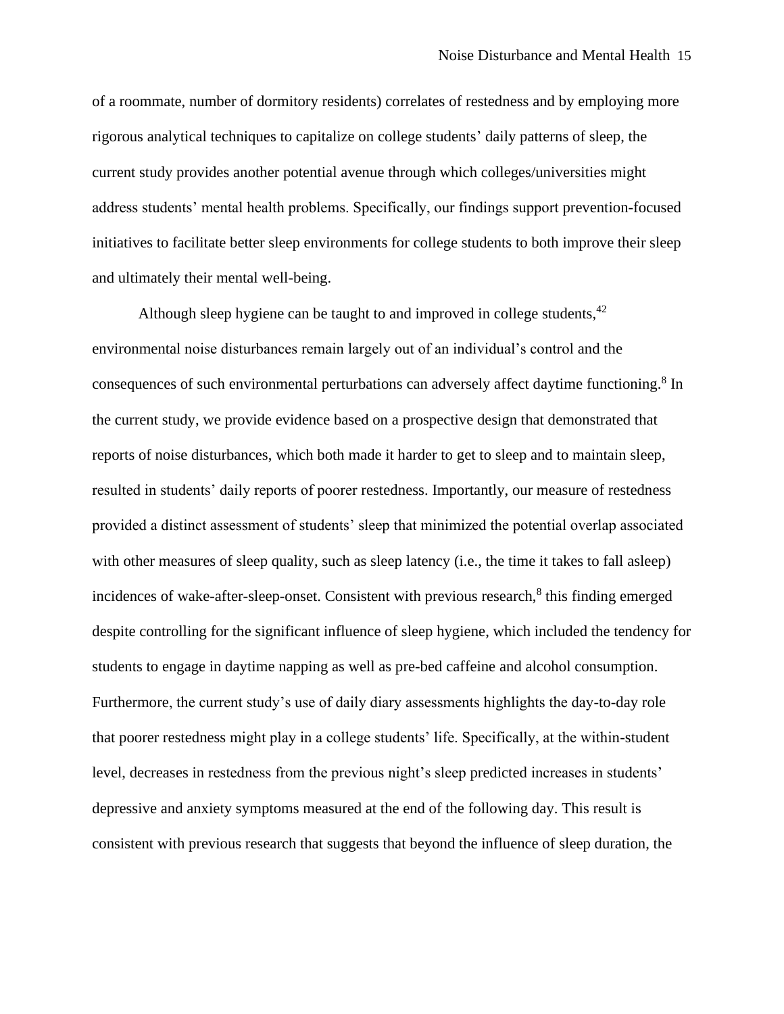of a roommate, number of dormitory residents) correlates of restedness and by employing more rigorous analytical techniques to capitalize on college students' daily patterns of sleep, the current study provides another potential avenue through which colleges/universities might address students' mental health problems. Specifically, our findings support prevention-focused initiatives to facilitate better sleep environments for college students to both improve their sleep and ultimately their mental well-being.

Although sleep hygiene can be taught to and improved in college students, <sup>42</sup> environmental noise disturbances remain largely out of an individual's control and the consequences of such environmental perturbations can adversely affect daytime functioning.<sup>8</sup> In the current study, we provide evidence based on a prospective design that demonstrated that reports of noise disturbances, which both made it harder to get to sleep and to maintain sleep, resulted in students' daily reports of poorer restedness. Importantly, our measure of restedness provided a distinct assessment of students' sleep that minimized the potential overlap associated with other measures of sleep quality, such as sleep latency (i.e., the time it takes to fall asleep) incidences of wake-after-sleep-onset. Consistent with previous research,<sup>8</sup> this finding emerged despite controlling for the significant influence of sleep hygiene, which included the tendency for students to engage in daytime napping as well as pre-bed caffeine and alcohol consumption. Furthermore, the current study's use of daily diary assessments highlights the day-to-day role that poorer restedness might play in a college students' life. Specifically, at the within-student level, decreases in restedness from the previous night's sleep predicted increases in students' depressive and anxiety symptoms measured at the end of the following day. This result is consistent with previous research that suggests that beyond the influence of sleep duration, the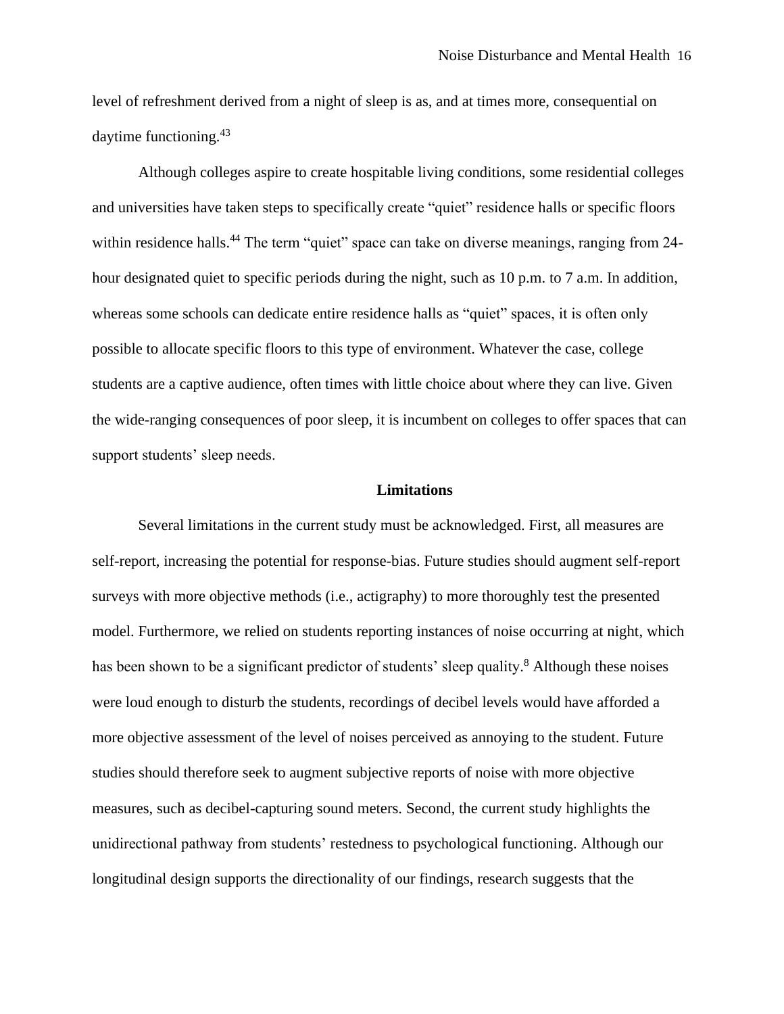level of refreshment derived from a night of sleep is as, and at times more, consequential on daytime functioning.<sup>43</sup>

Although colleges aspire to create hospitable living conditions, some residential colleges and universities have taken steps to specifically create "quiet" residence halls or specific floors within residence halls.<sup>44</sup> The term "quiet" space can take on diverse meanings, ranging from 24hour designated quiet to specific periods during the night, such as 10 p.m. to 7 a.m. In addition, whereas some schools can dedicate entire residence halls as "quiet" spaces, it is often only possible to allocate specific floors to this type of environment. Whatever the case, college students are a captive audience, often times with little choice about where they can live. Given the wide-ranging consequences of poor sleep, it is incumbent on colleges to offer spaces that can support students' sleep needs.

#### **Limitations**

Several limitations in the current study must be acknowledged. First, all measures are self-report, increasing the potential for response-bias. Future studies should augment self-report surveys with more objective methods (i.e., actigraphy) to more thoroughly test the presented model. Furthermore, we relied on students reporting instances of noise occurring at night, which has been shown to be a significant predictor of students' sleep quality.<sup>8</sup> Although these noises were loud enough to disturb the students, recordings of decibel levels would have afforded a more objective assessment of the level of noises perceived as annoying to the student. Future studies should therefore seek to augment subjective reports of noise with more objective measures, such as decibel-capturing sound meters. Second, the current study highlights the unidirectional pathway from students' restedness to psychological functioning. Although our longitudinal design supports the directionality of our findings, research suggests that the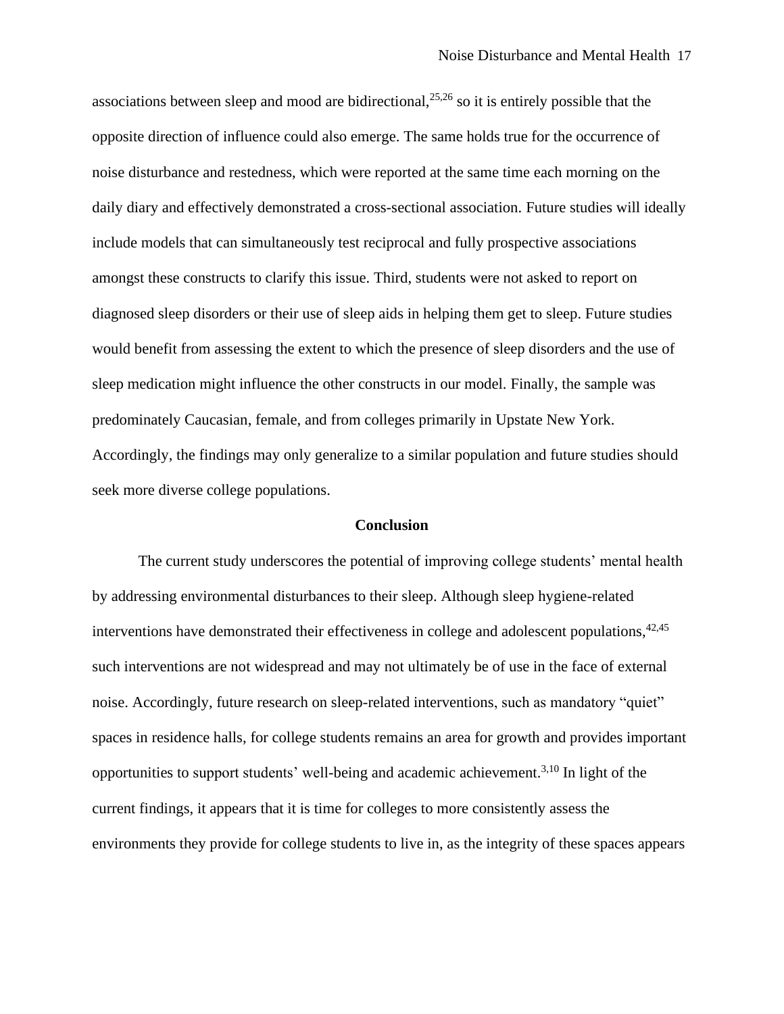associations between sleep and mood are bidirectional,  $25,26$  so it is entirely possible that the opposite direction of influence could also emerge. The same holds true for the occurrence of noise disturbance and restedness, which were reported at the same time each morning on the daily diary and effectively demonstrated a cross-sectional association. Future studies will ideally include models that can simultaneously test reciprocal and fully prospective associations amongst these constructs to clarify this issue. Third, students were not asked to report on diagnosed sleep disorders or their use of sleep aids in helping them get to sleep. Future studies would benefit from assessing the extent to which the presence of sleep disorders and the use of sleep medication might influence the other constructs in our model. Finally, the sample was predominately Caucasian, female, and from colleges primarily in Upstate New York. Accordingly, the findings may only generalize to a similar population and future studies should seek more diverse college populations.

#### **Conclusion**

The current study underscores the potential of improving college students' mental health by addressing environmental disturbances to their sleep. Although sleep hygiene-related interventions have demonstrated their effectiveness in college and adolescent populations,  $42,45$ such interventions are not widespread and may not ultimately be of use in the face of external noise. Accordingly, future research on sleep-related interventions, such as mandatory "quiet" spaces in residence halls, for college students remains an area for growth and provides important opportunities to support students' well-being and academic achievement. 3,10 In light of the current findings, it appears that it is time for colleges to more consistently assess the environments they provide for college students to live in, as the integrity of these spaces appears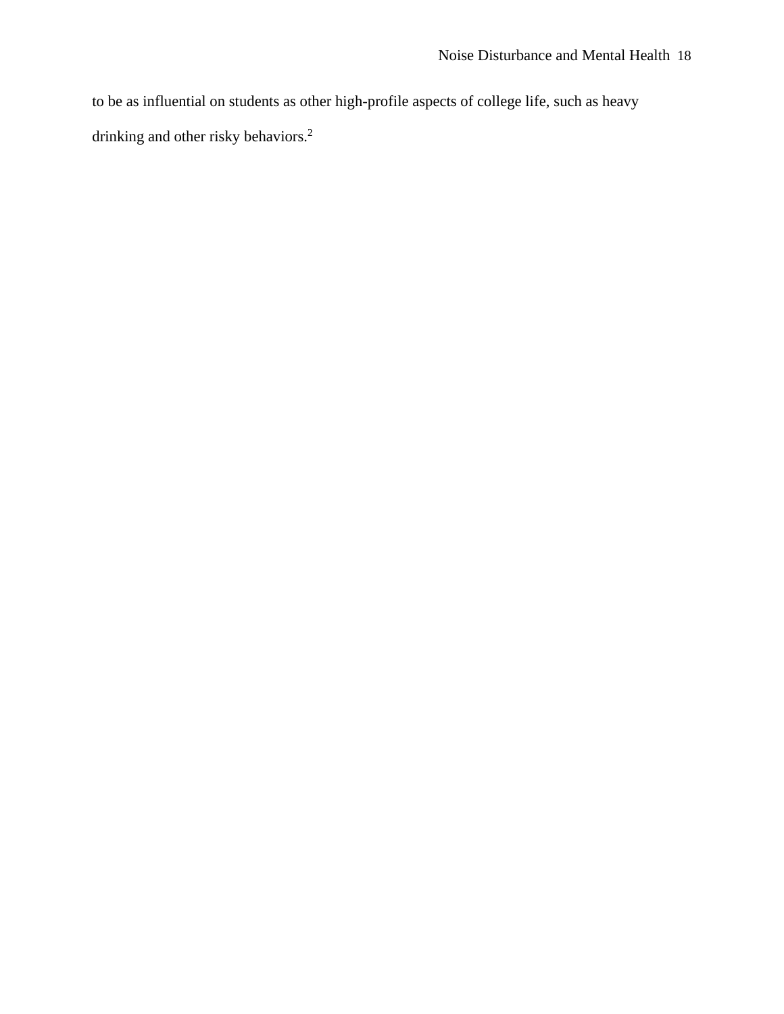to be as influential on students as other high-profile aspects of college life, such as heavy drinking and other risky behaviors.<sup>2</sup>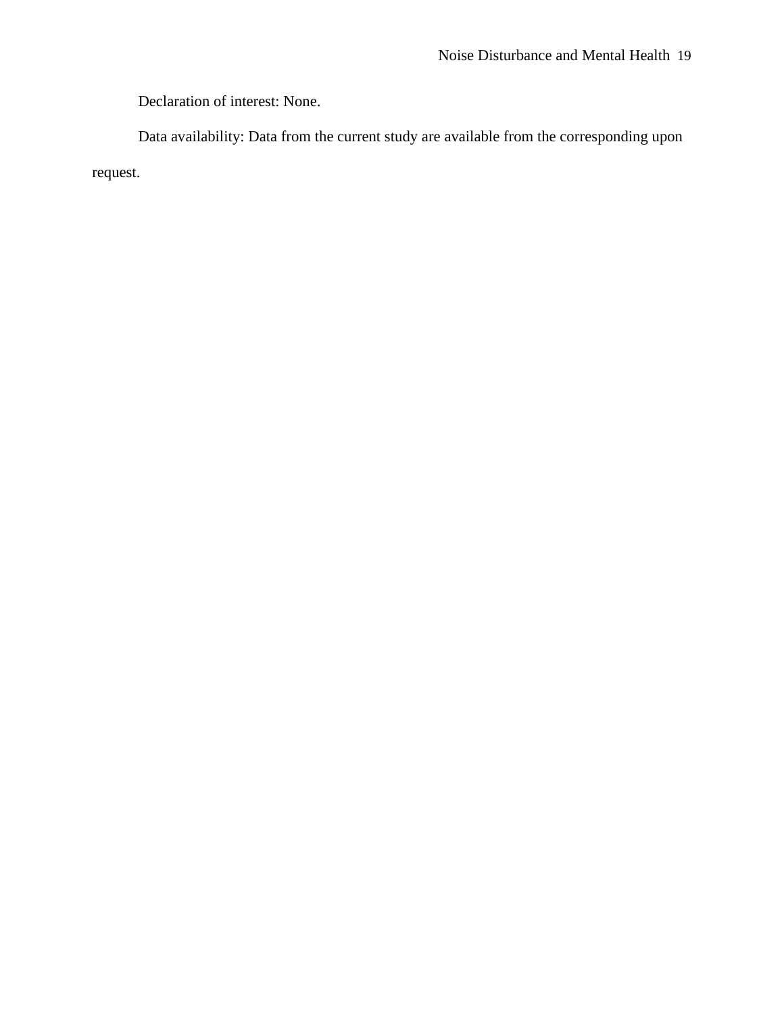Declaration of interest: None.

Data availability: Data from the current study are available from the corresponding upon request.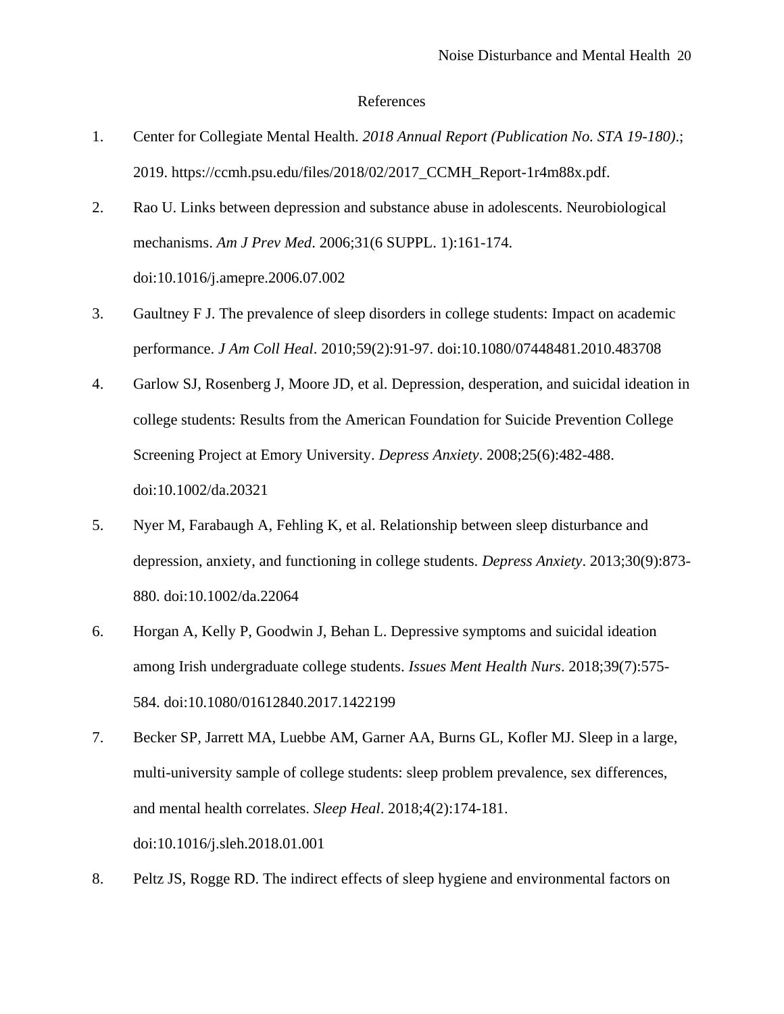## References

- 1. Center for Collegiate Mental Health. *2018 Annual Report (Publication No. STA 19-180)*.; 2019. https://ccmh.psu.edu/files/2018/02/2017\_CCMH\_Report-1r4m88x.pdf.
- 2. Rao U. Links between depression and substance abuse in adolescents. Neurobiological mechanisms. *Am J Prev Med*. 2006;31(6 SUPPL. 1):161-174. doi:10.1016/j.amepre.2006.07.002
- 3. Gaultney F J. The prevalence of sleep disorders in college students: Impact on academic performance. *J Am Coll Heal*. 2010;59(2):91-97. doi:10.1080/07448481.2010.483708
- 4. Garlow SJ, Rosenberg J, Moore JD, et al. Depression, desperation, and suicidal ideation in college students: Results from the American Foundation for Suicide Prevention College Screening Project at Emory University. *Depress Anxiety*. 2008;25(6):482-488. doi:10.1002/da.20321
- 5. Nyer M, Farabaugh A, Fehling K, et al. Relationship between sleep disturbance and depression, anxiety, and functioning in college students. *Depress Anxiety*. 2013;30(9):873- 880. doi:10.1002/da.22064
- 6. Horgan A, Kelly P, Goodwin J, Behan L. Depressive symptoms and suicidal ideation among Irish undergraduate college students. *Issues Ment Health Nurs*. 2018;39(7):575- 584. doi:10.1080/01612840.2017.1422199
- 7. Becker SP, Jarrett MA, Luebbe AM, Garner AA, Burns GL, Kofler MJ. Sleep in a large, multi-university sample of college students: sleep problem prevalence, sex differences, and mental health correlates. *Sleep Heal*. 2018;4(2):174-181. doi:10.1016/j.sleh.2018.01.001
- 8. Peltz JS, Rogge RD. The indirect effects of sleep hygiene and environmental factors on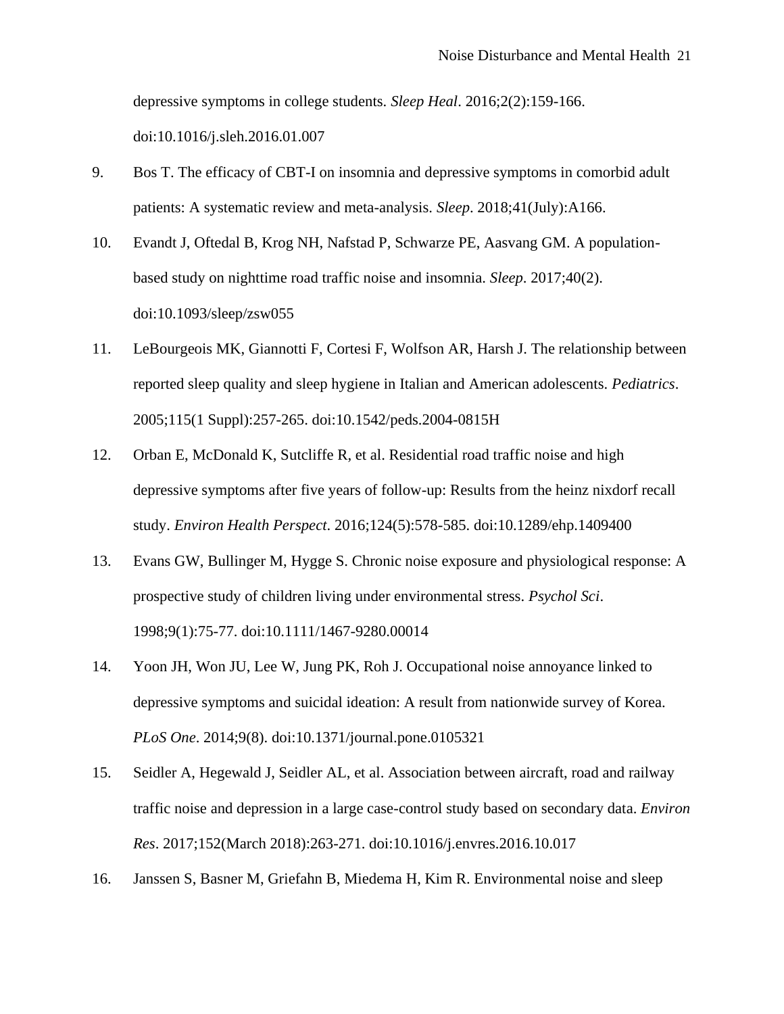depressive symptoms in college students. *Sleep Heal*. 2016;2(2):159-166.

doi:10.1016/j.sleh.2016.01.007

- 9. Bos T. The efficacy of CBT-I on insomnia and depressive symptoms in comorbid adult patients: A systematic review and meta-analysis. *Sleep*. 2018;41(July):A166.
- 10. Evandt J, Oftedal B, Krog NH, Nafstad P, Schwarze PE, Aasvang GM. A populationbased study on nighttime road traffic noise and insomnia. *Sleep*. 2017;40(2). doi:10.1093/sleep/zsw055
- 11. LeBourgeois MK, Giannotti F, Cortesi F, Wolfson AR, Harsh J. The relationship between reported sleep quality and sleep hygiene in Italian and American adolescents. *Pediatrics*. 2005;115(1 Suppl):257-265. doi:10.1542/peds.2004-0815H
- 12. Orban E, McDonald K, Sutcliffe R, et al. Residential road traffic noise and high depressive symptoms after five years of follow-up: Results from the heinz nixdorf recall study. *Environ Health Perspect*. 2016;124(5):578-585. doi:10.1289/ehp.1409400
- 13. Evans GW, Bullinger M, Hygge S. Chronic noise exposure and physiological response: A prospective study of children living under environmental stress. *Psychol Sci*. 1998;9(1):75-77. doi:10.1111/1467-9280.00014
- 14. Yoon JH, Won JU, Lee W, Jung PK, Roh J. Occupational noise annoyance linked to depressive symptoms and suicidal ideation: A result from nationwide survey of Korea. *PLoS One*. 2014;9(8). doi:10.1371/journal.pone.0105321
- 15. Seidler A, Hegewald J, Seidler AL, et al. Association between aircraft, road and railway traffic noise and depression in a large case-control study based on secondary data. *Environ Res*. 2017;152(March 2018):263-271. doi:10.1016/j.envres.2016.10.017
- 16. Janssen S, Basner M, Griefahn B, Miedema H, Kim R. Environmental noise and sleep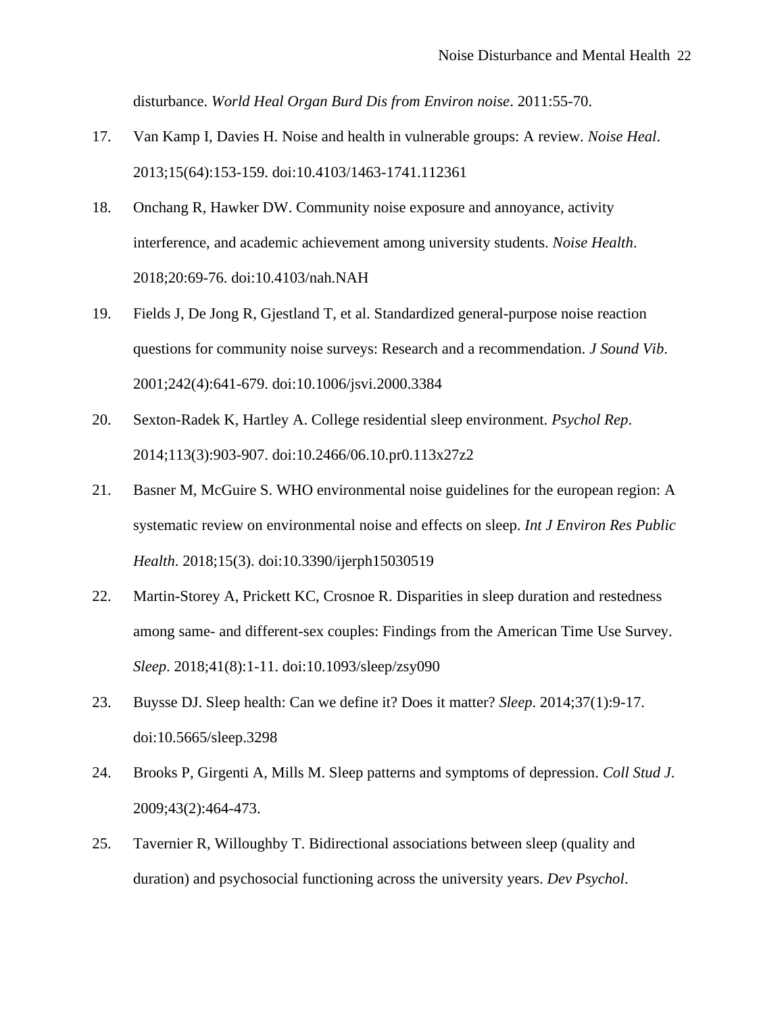disturbance. *World Heal Organ Burd Dis from Environ noise*. 2011:55-70.

- 17. Van Kamp I, Davies H. Noise and health in vulnerable groups: A review. *Noise Heal*. 2013;15(64):153-159. doi:10.4103/1463-1741.112361
- 18. Onchang R, Hawker DW. Community noise exposure and annoyance, activity interference, and academic achievement among university students. *Noise Health*. 2018;20:69-76. doi:10.4103/nah.NAH
- 19. Fields J, De Jong R, Gjestland T, et al. Standardized general-purpose noise reaction questions for community noise surveys: Research and a recommendation. *J Sound Vib*. 2001;242(4):641-679. doi:10.1006/jsvi.2000.3384
- 20. Sexton-Radek K, Hartley A. College residential sleep environment. *Psychol Rep*. 2014;113(3):903-907. doi:10.2466/06.10.pr0.113x27z2
- 21. Basner M, McGuire S. WHO environmental noise guidelines for the european region: A systematic review on environmental noise and effects on sleep. *Int J Environ Res Public Health*. 2018;15(3). doi:10.3390/ijerph15030519
- 22. Martin-Storey A, Prickett KC, Crosnoe R. Disparities in sleep duration and restedness among same- and different-sex couples: Findings from the American Time Use Survey. *Sleep*. 2018;41(8):1-11. doi:10.1093/sleep/zsy090
- 23. Buysse DJ. Sleep health: Can we define it? Does it matter? *Sleep*. 2014;37(1):9-17. doi:10.5665/sleep.3298
- 24. Brooks P, Girgenti A, Mills M. Sleep patterns and symptoms of depression. *Coll Stud J*. 2009;43(2):464-473.
- 25. Tavernier R, Willoughby T. Bidirectional associations between sleep (quality and duration) and psychosocial functioning across the university years. *Dev Psychol*.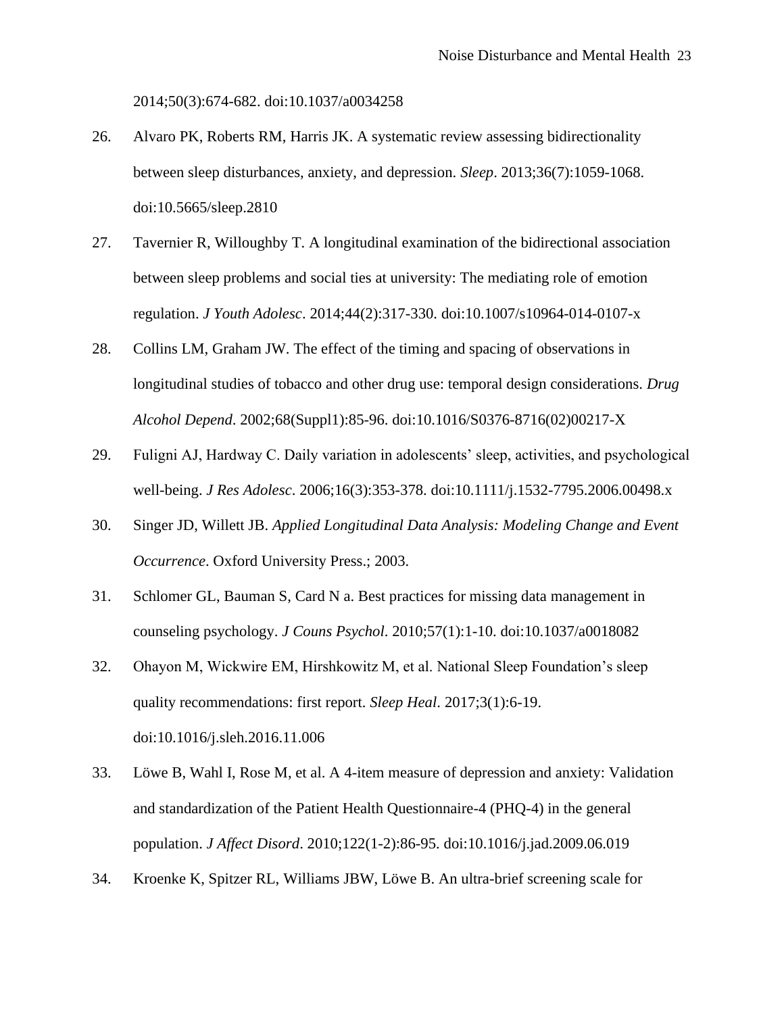2014;50(3):674-682. doi:10.1037/a0034258

- 26. Alvaro PK, Roberts RM, Harris JK. A systematic review assessing bidirectionality between sleep disturbances, anxiety, and depression. *Sleep*. 2013;36(7):1059-1068. doi:10.5665/sleep.2810
- 27. Tavernier R, Willoughby T. A longitudinal examination of the bidirectional association between sleep problems and social ties at university: The mediating role of emotion regulation. *J Youth Adolesc*. 2014;44(2):317-330. doi:10.1007/s10964-014-0107-x
- 28. Collins LM, Graham JW. The effect of the timing and spacing of observations in longitudinal studies of tobacco and other drug use: temporal design considerations. *Drug Alcohol Depend*. 2002;68(Suppl1):85-96. doi:10.1016/S0376-8716(02)00217-X
- 29. Fuligni AJ, Hardway C. Daily variation in adolescents' sleep, activities, and psychological well-being. *J Res Adolesc*. 2006;16(3):353-378. doi:10.1111/j.1532-7795.2006.00498.x
- 30. Singer JD, Willett JB. *Applied Longitudinal Data Analysis: Modeling Change and Event Occurrence*. Oxford University Press.; 2003.
- 31. Schlomer GL, Bauman S, Card N a. Best practices for missing data management in counseling psychology. *J Couns Psychol*. 2010;57(1):1-10. doi:10.1037/a0018082
- 32. Ohayon M, Wickwire EM, Hirshkowitz M, et al. National Sleep Foundation's sleep quality recommendations: first report. *Sleep Heal*. 2017;3(1):6-19. doi:10.1016/j.sleh.2016.11.006
- 33. Löwe B, Wahl I, Rose M, et al. A 4-item measure of depression and anxiety: Validation and standardization of the Patient Health Questionnaire-4 (PHQ-4) in the general population. *J Affect Disord*. 2010;122(1-2):86-95. doi:10.1016/j.jad.2009.06.019
- 34. Kroenke K, Spitzer RL, Williams JBW, Löwe B. An ultra-brief screening scale for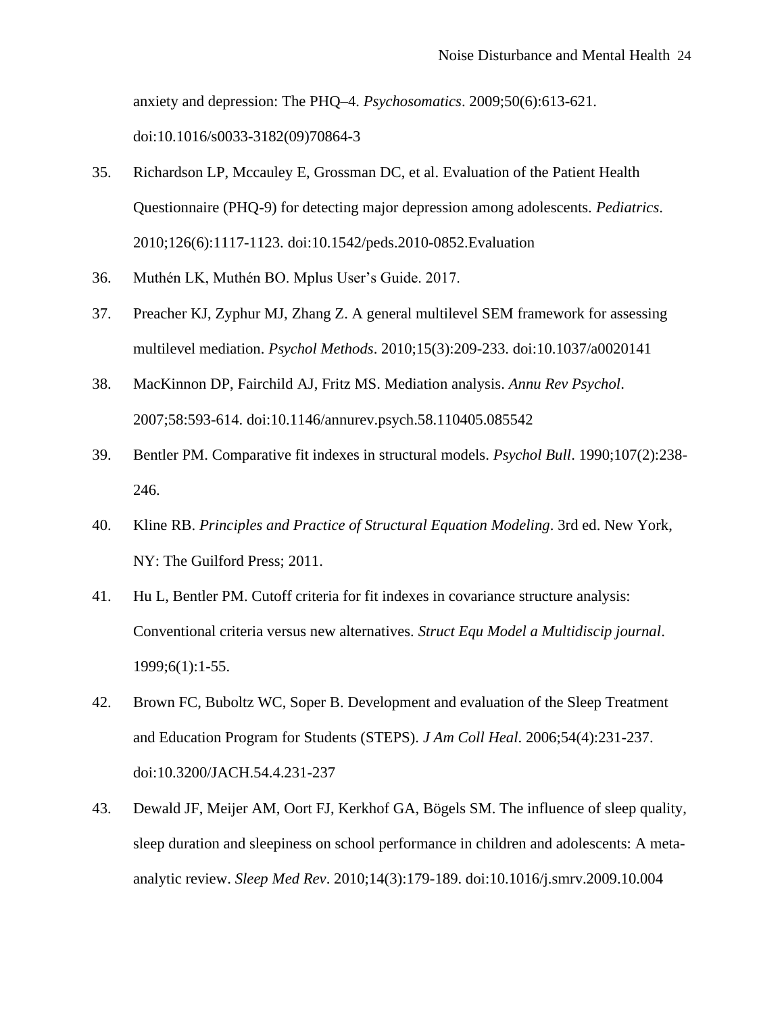anxiety and depression: The PHQ–4. *Psychosomatics*. 2009;50(6):613-621. doi:10.1016/s0033-3182(09)70864-3

- 35. Richardson LP, Mccauley E, Grossman DC, et al. Evaluation of the Patient Health Questionnaire (PHQ-9) for detecting major depression among adolescents. *Pediatrics*. 2010;126(6):1117-1123. doi:10.1542/peds.2010-0852.Evaluation
- 36. Muthén LK, Muthén BO. Mplus User's Guide. 2017.
- 37. Preacher KJ, Zyphur MJ, Zhang Z. A general multilevel SEM framework for assessing multilevel mediation. *Psychol Methods*. 2010;15(3):209-233. doi:10.1037/a0020141
- 38. MacKinnon DP, Fairchild AJ, Fritz MS. Mediation analysis. *Annu Rev Psychol*. 2007;58:593-614. doi:10.1146/annurev.psych.58.110405.085542
- 39. Bentler PM. Comparative fit indexes in structural models. *Psychol Bull*. 1990;107(2):238- 246.
- 40. Kline RB. *Principles and Practice of Structural Equation Modeling*. 3rd ed. New York, NY: The Guilford Press; 2011.
- 41. Hu L, Bentler PM. Cutoff criteria for fit indexes in covariance structure analysis: Conventional criteria versus new alternatives. *Struct Equ Model a Multidiscip journal*. 1999;6(1):1-55.
- 42. Brown FC, Buboltz WC, Soper B. Development and evaluation of the Sleep Treatment and Education Program for Students (STEPS). *J Am Coll Heal*. 2006;54(4):231-237. doi:10.3200/JACH.54.4.231-237
- 43. Dewald JF, Meijer AM, Oort FJ, Kerkhof GA, Bögels SM. The influence of sleep quality, sleep duration and sleepiness on school performance in children and adolescents: A metaanalytic review. *Sleep Med Rev*. 2010;14(3):179-189. doi:10.1016/j.smrv.2009.10.004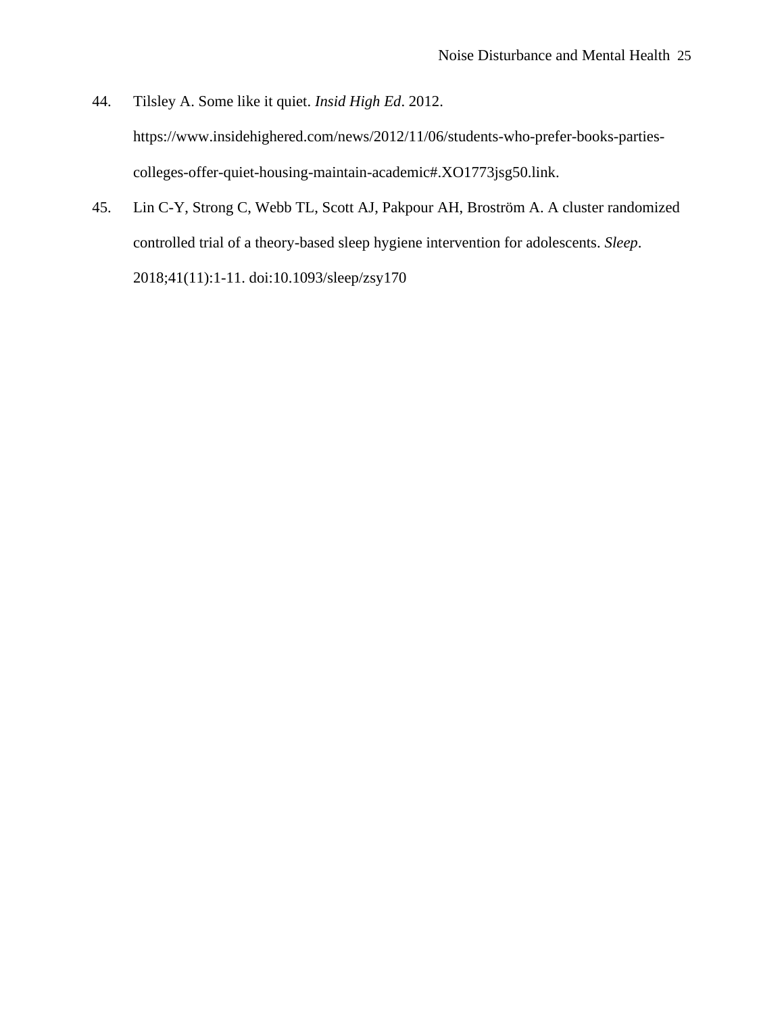- 44. Tilsley A. Some like it quiet. *Insid High Ed*. 2012. https://www.insidehighered.com/news/2012/11/06/students-who-prefer-books-partiescolleges-offer-quiet-housing-maintain-academic#.XO1773jsg50.link.
- 45. Lin C-Y, Strong C, Webb TL, Scott AJ, Pakpour AH, Broström A. A cluster randomized controlled trial of a theory-based sleep hygiene intervention for adolescents. *Sleep*. 2018;41(11):1-11. doi:10.1093/sleep/zsy170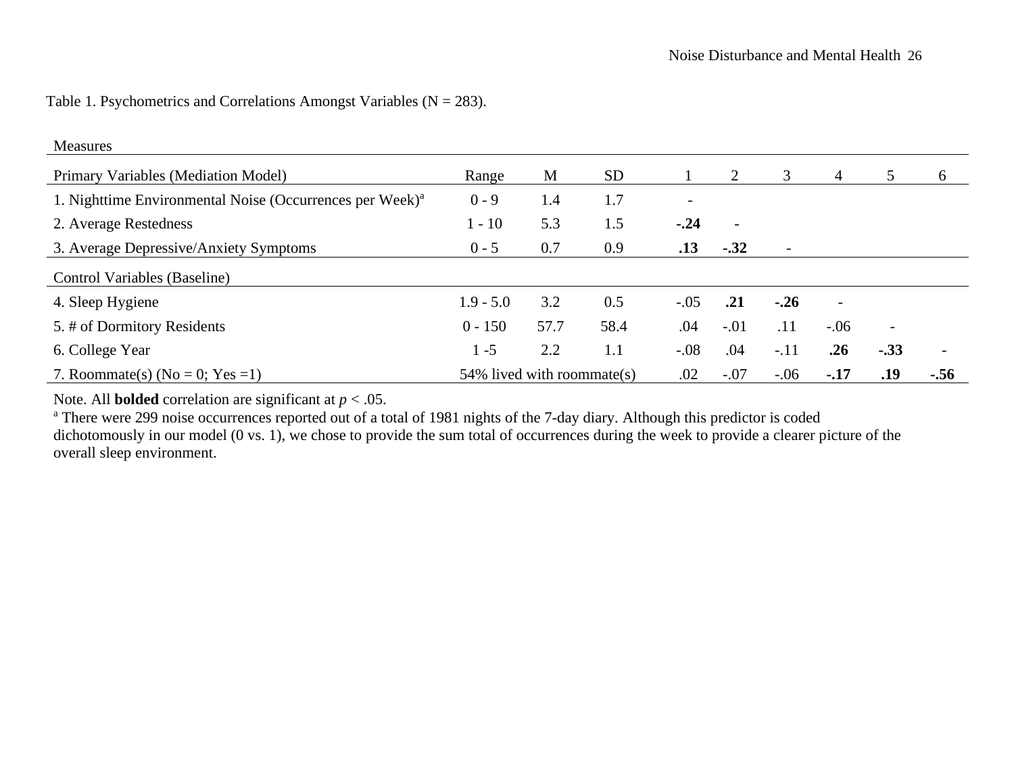Table 1. Psychometrics and Correlations Amongst Variables ( $N = 283$ ).

| Measures                                                             |                               |      |           |                          |                          |                          |                          |                          |        |  |
|----------------------------------------------------------------------|-------------------------------|------|-----------|--------------------------|--------------------------|--------------------------|--------------------------|--------------------------|--------|--|
| Primary Variables (Mediation Model)                                  | Range                         | M    | <b>SD</b> |                          |                          | 3                        | 4                        | 5                        | 6      |  |
| 1. Nighttime Environmental Noise (Occurrences per Week) <sup>a</sup> | $0 - 9$                       | 1.4  | 1.7       | $\overline{\phantom{a}}$ |                          |                          |                          |                          |        |  |
| 2. Average Restedness                                                | $1 - 10$                      | 5.3  | 1.5       | $-.24$                   | $\overline{\phantom{a}}$ |                          |                          |                          |        |  |
| 3. Average Depressive/Anxiety Symptoms                               | $0 - 5$                       | 0.7  | 0.9       | .13                      | $-.32$                   | $\overline{\phantom{a}}$ |                          |                          |        |  |
| Control Variables (Baseline)                                         |                               |      |           |                          |                          |                          |                          |                          |        |  |
| 4. Sleep Hygiene                                                     | $1.9 - 5.0$                   | 3.2  | 0.5       | $-.05$                   | .21                      | $-.26$                   | $\overline{\phantom{a}}$ |                          |        |  |
| 5. # of Dormitory Residents                                          | $0 - 150$                     | 57.7 | 58.4      | .04                      | $-.01$                   | .11                      | $-.06$                   | $\overline{\phantom{a}}$ |        |  |
| 6. College Year                                                      | $1 - 5$                       | 2.2  | 1.1       | $-.08$                   | .04                      | $-.11$                   | .26                      | $-.33$                   |        |  |
| 7. Roommate(s) (No = 0; Yes = 1)                                     | $54\%$ lived with roommate(s) |      |           | .02                      | $-.07$                   | $-0.06$                  | $-.17$                   | .19                      | $-.56$ |  |

Note. All **bolded** correlation are significant at *p* < .05.

<sup>a</sup> There were 299 noise occurrences reported out of a total of 1981 nights of the 7-day diary. Although this predictor is coded dichotomously in our model (0 vs. 1), we chose to provide the sum total of occurrences during the week to provide a clearer picture of the overall sleep environment.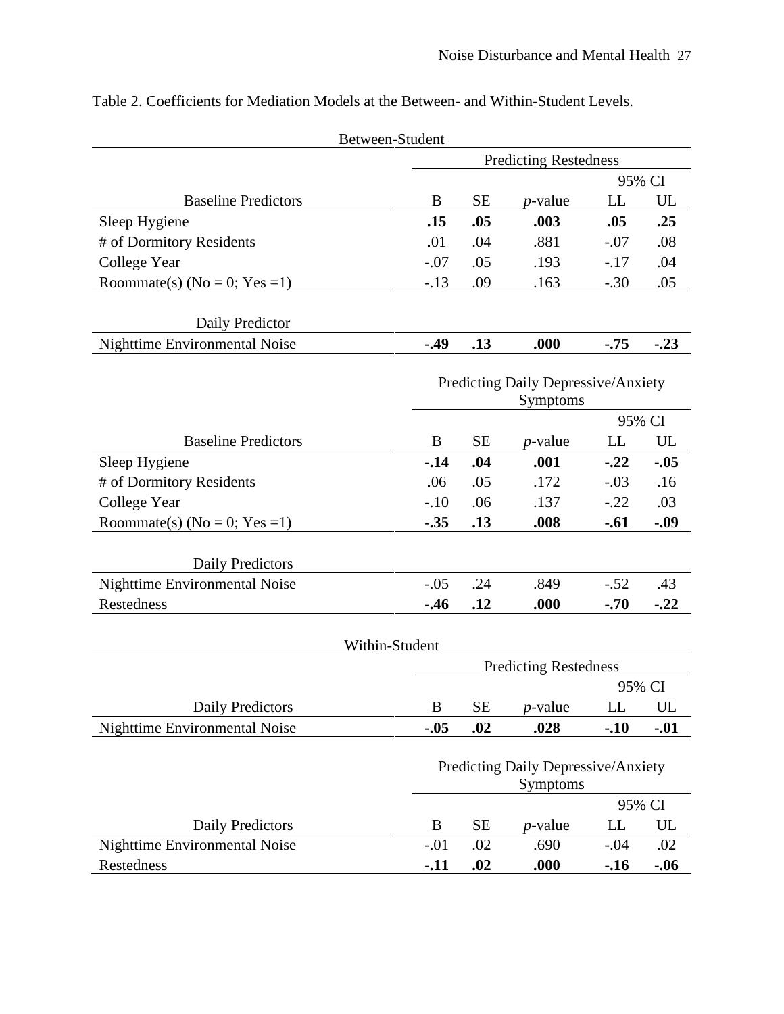|                                      | Between-Student  |                                                 |                 |         |        |  |  |  |  |
|--------------------------------------|------------------|-------------------------------------------------|-----------------|---------|--------|--|--|--|--|
|                                      |                  | <b>Predicting Restedness</b>                    |                 |         |        |  |  |  |  |
|                                      |                  |                                                 |                 | 95% CI  |        |  |  |  |  |
| <b>Baseline Predictors</b>           | B                | <b>SE</b>                                       | $p$ -value      | LL      | UL     |  |  |  |  |
| Sleep Hygiene                        | .15              | .05                                             | .003            | .05     | .25    |  |  |  |  |
| # of Dormitory Residents             | .01              | .04                                             | .881            | $-.07$  | .08    |  |  |  |  |
| College Year                         | $-.07$           | .05                                             | .193            | $-17$   | .04    |  |  |  |  |
| Roommate(s) ( $No = 0$ ; $Yes = 1$ ) | $-.13$           | .09                                             | .163            | $-.30$  | .05    |  |  |  |  |
|                                      |                  |                                                 |                 |         |        |  |  |  |  |
| Daily Predictor                      |                  |                                                 |                 |         |        |  |  |  |  |
| Nighttime Environmental Noise        | $-49$            | .13                                             | .000            | $-75$   | $-.23$ |  |  |  |  |
|                                      |                  |                                                 |                 |         |        |  |  |  |  |
|                                      |                  | Predicting Daily Depressive/Anxiety<br>Symptoms |                 |         |        |  |  |  |  |
|                                      |                  | 95% CI                                          |                 |         |        |  |  |  |  |
| <b>Baseline Predictors</b>           | B                | <b>SE</b>                                       | $p$ -value      | LL      | UL     |  |  |  |  |
| Sleep Hygiene                        | $-14$            | .04                                             | .001            | $-0.22$ | $-.05$ |  |  |  |  |
| # of Dormitory Residents             | .06              | .05                                             | .172            | $-.03$  | .16    |  |  |  |  |
| College Year                         | $-.10$           | .06                                             | .137            | $-.22$  | .03    |  |  |  |  |
| Roommate(s) ( $No = 0$ ; $Yes = 1$ ) | $-.35$           | .13                                             | .008            | $-.61$  | $-.09$ |  |  |  |  |
|                                      |                  |                                                 |                 |         |        |  |  |  |  |
| Daily Predictors                     |                  |                                                 |                 |         |        |  |  |  |  |
| Nighttime Environmental Noise        | $-.05$           | .24                                             | .849            | $-.52$  | .43    |  |  |  |  |
| Restedness                           | $-.46$           | .12                                             | .000            | $-.70$  | $-.22$ |  |  |  |  |
|                                      |                  |                                                 |                 |         |        |  |  |  |  |
|                                      | Within-Student   |                                                 |                 |         |        |  |  |  |  |
|                                      |                  | <b>Predicting Restedness</b>                    |                 |         |        |  |  |  |  |
|                                      |                  |                                                 |                 | 95% CI  |        |  |  |  |  |
| <b>Daily Predictors</b>              | $\boldsymbol{B}$ | <b>SE</b>                                       | <i>p</i> -value | LL      | UL     |  |  |  |  |
| Nighttime Environmental Noise        | $-.05$           | .02                                             | .028            | $-.10$  | $-.01$ |  |  |  |  |
|                                      |                  |                                                 |                 |         |        |  |  |  |  |
|                                      |                  | Predicting Daily Depressive/Anxiety             |                 |         |        |  |  |  |  |
|                                      |                  | Symptoms<br>95% CI                              |                 |         |        |  |  |  |  |
| Daily Predictors                     | B                | <b>SE</b>                                       | <i>p</i> -value | LL      | UL     |  |  |  |  |
| Nighttime Environmental Noise        | $-.01$           | .02                                             | .690            | $-.04$  | .02    |  |  |  |  |
| Restedness                           | $-.11$           | .02                                             | .000            | $-.16$  | $-.06$ |  |  |  |  |
|                                      |                  |                                                 |                 |         |        |  |  |  |  |

Table 2. Coefficients for Mediation Models at the Between- and Within-Student Levels.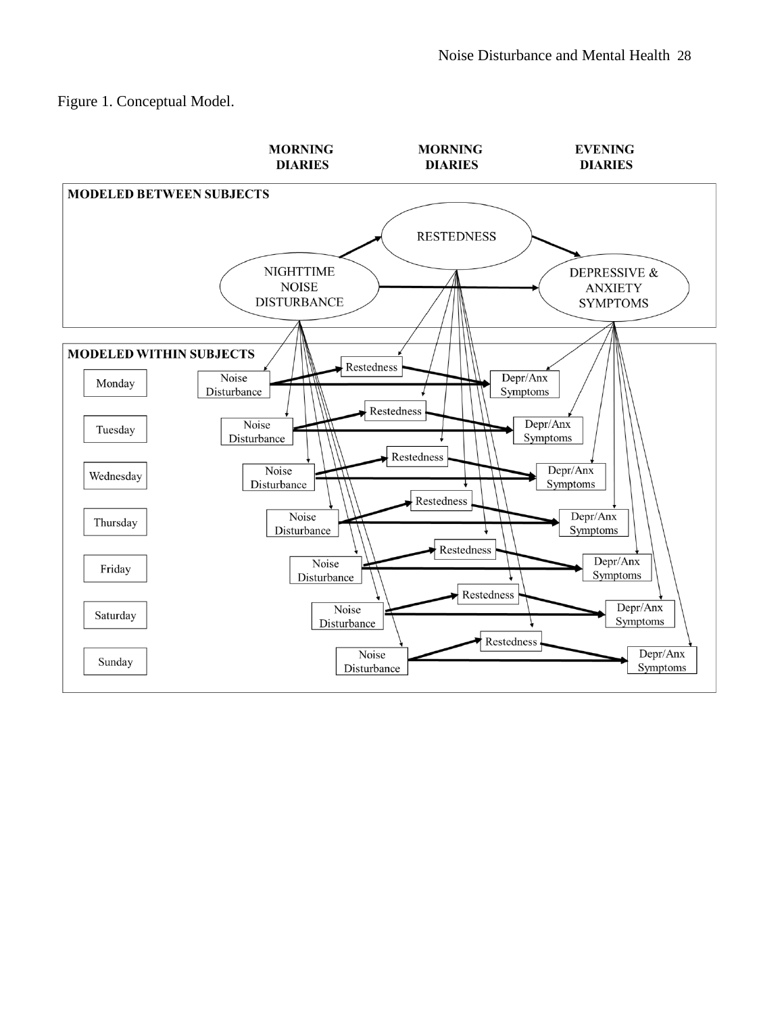Figure 1. Conceptual Model.